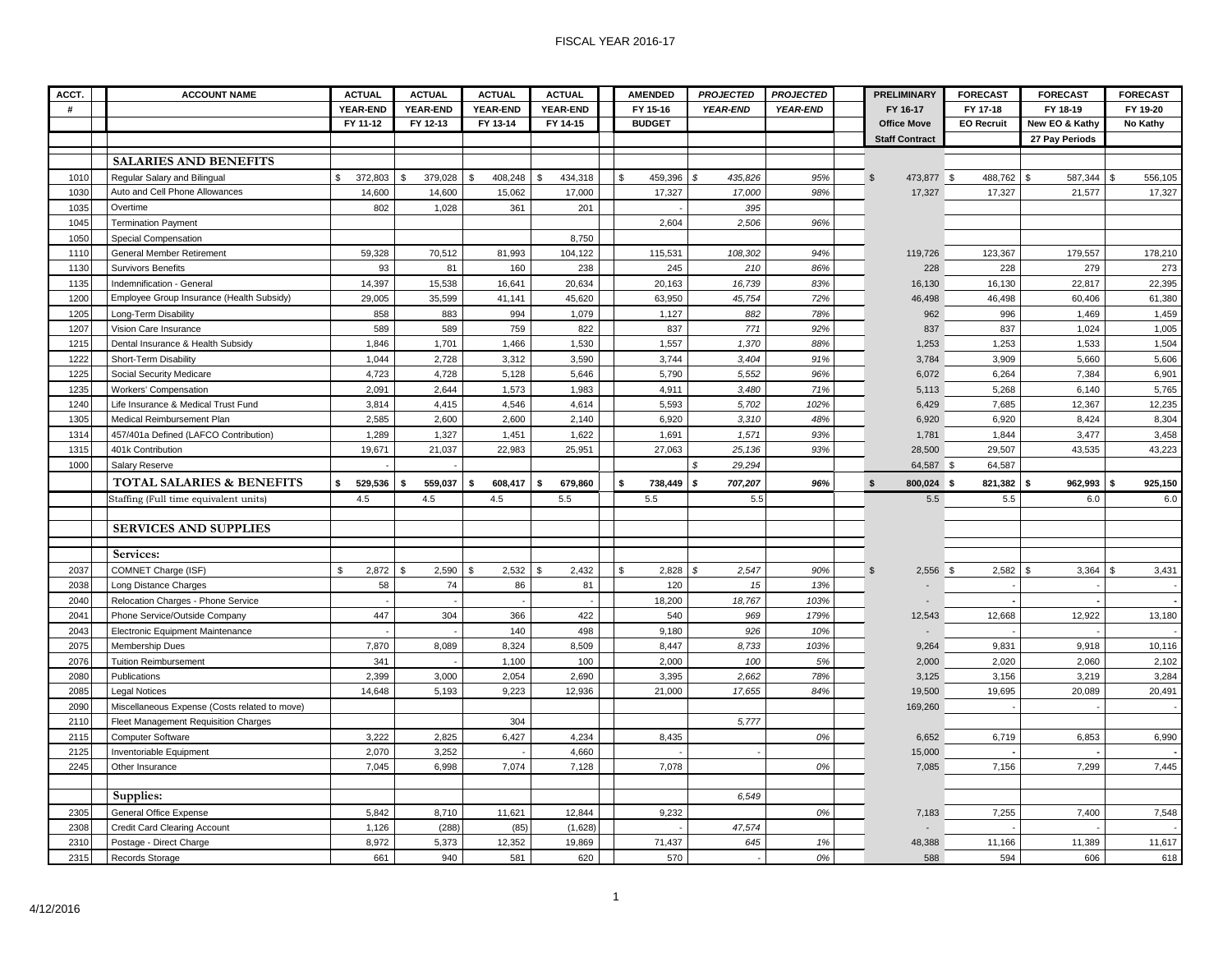#### FISCAL YEAR 2016-17

| ACCT.        | <b>ACCOUNT NAME</b>                             | <b>ACTUAL</b>            | <b>ACTUAL</b>         | <b>ACTUAL</b>      | <b>ACTUAL</b>           | <b>AMENDED</b> | <b>PROJECTED</b>        | <b>PROJECTED</b> | <b>PRELIMINARY</b>           | <b>FORECAST</b>      | <b>FORECAST</b> | <b>FORECAST</b>        |
|--------------|-------------------------------------------------|--------------------------|-----------------------|--------------------|-------------------------|----------------|-------------------------|------------------|------------------------------|----------------------|-----------------|------------------------|
| #            |                                                 | <b>YEAR-END</b>          | YEAR-END              | YEAR-END           | YEAR-END                | FY 15-16       | <b>YEAR-END</b>         | <b>YEAR-END</b>  | FY 16-17                     | FY 17-18             | FY 18-19        | FY 19-20               |
|              |                                                 | FY 11-12                 | FY 12-13              | FY 13-14           | FY 14-15                | <b>BUDGET</b>  |                         |                  | <b>Office Move</b>           | <b>EO Recruit</b>    | New EO & Kathy  | No Kathy               |
|              |                                                 |                          |                       |                    |                         |                |                         |                  | <b>Staff Contract</b>        |                      | 27 Pay Periods  |                        |
|              | <b>SALARIES AND BENEFITS</b>                    |                          |                       |                    |                         |                |                         |                  |                              |                      |                 |                        |
| 1010         | Regular Salary and Bilingual                    | \$<br>372,803            | \$<br>379,028         | \$<br>408,248 \$   | 434,318                 | \$<br>459,396  | \$<br>435,826           | 95%              | $\mathfrak{s}$<br>473,877 \$ | 488,762 \$           | 587,344         | $\mathbb S$<br>556,105 |
| 1030         | Auto and Cell Phone Allowances                  | 14,600                   | 14,600                | 15,062             | 17,000                  | 17,327         | 17,000                  | 98%              | 17,327                       | 17,327               | 21,577          | 17,327                 |
| 1035         | Overtime                                        | 802                      | 1,028                 | 361                | 201                     |                | 395                     |                  |                              |                      |                 |                        |
| 1045         | <b>Termination Payment</b>                      |                          |                       |                    |                         | 2,604          | 2,506                   | 96%              |                              |                      |                 |                        |
| 1050         | Special Compensation                            |                          |                       |                    | 8,750                   |                |                         |                  |                              |                      |                 |                        |
| 1110         | <b>General Member Retirement</b>                | 59,328                   | 70,512                | 81,993             | 104,122                 | 115,531        | 108,302                 | 94%              | 119,726                      | 123,367              | 179,557         | 178,210                |
| 1130         | <b>Survivors Benefits</b>                       | 93                       | 81                    | 160                | 238                     | 245            | 210                     | 86%              | 228                          | 228                  | 279             | 273                    |
| 1135         | Indemnification - General                       | 14,397                   | 15,538                | 16,641             | 20,634                  | 20,163         | 16,739                  | 83%              | 16,130                       | 16,130               | 22,817          | 22,395                 |
| 1200         | Employee Group Insurance (Health Subsidy)       | 29,005                   | 35,599                | 41,141             | 45,620                  | 63,950         | 45,754                  | 72%              | 46,498                       | 46,498               | 60,406          | 61,380                 |
| 1205         | Long-Term Disability                            | 858                      | 883                   | 994                | 1,079                   | 1,127          | 882                     | 78%              | 962                          | 996                  | 1,469           | 1,459                  |
| 1207         | Vision Care Insurance                           | 589                      | 589                   | 759                | 822                     | 837            | 771                     | 92%              | 837                          | 837                  | 1,024           | 1,005                  |
| 1215         | Dental Insurance & Health Subsidy               | 1.846                    | 1,701                 | 1,466              | 1,530                   | 1,557          | 1,370                   | 88%              | 1,253                        | 1,253                | 1,533           | 1,504                  |
| 1222         | Short-Term Disability                           | 1,044                    | 2,728                 | 3,312              | 3,590                   | 3,744          | 3,404                   | 91%              | 3,784                        | 3,909                | 5,660           | 5,606                  |
| 1225         | Social Security Medicare                        | 4,723                    | 4,728                 | 5,128              | 5,646                   | 5,790          | 5,552                   | 96%              | 6,072                        | 6,264                | 7,384           | 6,901                  |
| 1235         | <b>Workers' Compensation</b>                    | 2,091                    | 2,644                 | 1,573              | 1,983                   | 4,911          | 3,480                   | 71%              | 5,113                        | 5,268                | 6,140           | 5,765                  |
| 1240         | Life Insurance & Medical Trust Fund             | 3,814                    | 4,415                 | 4,546              | 4,614                   | 5,593          | 5,702                   | 102%             | 6,429                        | 7,685                | 12,367          | 12,235                 |
| 1305         | Medical Reimbursement Plan                      | 2,585                    | 2,600                 | 2,600              | 2,140                   | 6,920          | 3,310                   | 48%              | 6,920                        | 6,920                | 8,424           | 8,304                  |
| 1314         | 457/401a Defined (LAFCO Contribution)           | 1,289                    | 1,327                 | 1,451              | 1,622                   | 1,691          | 1,571                   | 93%              | 1,781                        | 1,844                | 3,477           | 3,458                  |
| 1315         | 401k Contribution                               | 19,671                   | 21,037                | 22,983             | 25,951                  | 27,063         | 25,136                  | 93%              | 28,500                       | 29,507               | 43,535          | 43,223                 |
| 1000         | Salary Reserve                                  |                          |                       |                    |                         |                | $\mathcal{S}$<br>29,294 |                  | 64,587 \$                    | 64,587               |                 |                        |
|              | <b>TOTAL SALARIES &amp; BENEFITS</b>            | 529,536<br>\$            | 559,037<br>S.         | -S<br>$608,417$ \$ | 679,860                 | 738,449        | s<br>707,207            | 96%              | $\mathbf{s}$<br>800,024 \$   | 821,382 \$           | 962,993         | 925,150<br>- \$        |
|              | Staffing (Full time equivalent units)           | 4.5                      | 4.5                   | 4.5                | 5.5                     | 5.5            | 5.5                     |                  | 5.5                          | 5.5                  | 6.0             | $6.0\,$                |
|              |                                                 |                          |                       |                    |                         |                |                         |                  |                              |                      |                 |                        |
|              | <b>SERVICES AND SUPPLIES</b>                    |                          |                       |                    |                         |                |                         |                  |                              |                      |                 |                        |
|              |                                                 |                          |                       |                    |                         |                |                         |                  |                              |                      |                 |                        |
|              |                                                 |                          |                       |                    |                         |                |                         |                  |                              |                      |                 |                        |
|              | Services:                                       |                          |                       |                    |                         |                |                         |                  |                              |                      |                 |                        |
| 2037         | COMNET Charge (ISF)                             | $\mathbf{s}$<br>2,872    | $\mathbf{s}$<br>2,590 | 2,532<br>- \$      | $\mathfrak{s}$<br>2,432 | \$<br>2,828    | 2,547<br>$\mathcal{S}$  | 90%              | $2,556$ \$<br>$\mathfrak{s}$ | 2,582                | 3,364<br>\$     | 3,431<br>\$            |
| 2038         | Long Distance Charges                           | 58                       | 74                    | 86                 | 81                      | 120            | 15                      | 13%              |                              | $\ddot{\phantom{a}}$ |                 |                        |
| 2040         | Relocation Charges - Phone Service              | $\overline{\phantom{a}}$ |                       |                    |                         | 18,200         | 18,767                  | 103%             |                              |                      |                 |                        |
| 2041         | Phone Service/Outside Company                   | 447                      | 304                   | 366                | 422                     | 540            | 969                     | 179%             | 12,543                       | 12,668               | 12,922          | 13,180                 |
| 2043         | Electronic Equipment Maintenance                |                          |                       | 140                | 498                     | 9,180          | 926                     | 10%              |                              |                      |                 |                        |
| 2075<br>2076 | Membership Dues<br><b>Tuition Reimbursement</b> | 7,870<br>341             | 8,089                 | 8,324              | 8,509<br>100            | 8,447<br>2,000 | 8,733                   | 103%<br>5%       | 9,264                        | 9,831<br>2,020       | 9,918           | 10,116                 |
| 2080         | Publications                                    | 2,399                    | 3,000                 | 1,100<br>2,054     | 2,690                   | 3,395          | 100<br>2,662            | 78%              | 2,000<br>3,125               | 3,156                | 2,060<br>3,219  | 2,102<br>3,284         |
| 2085         | <b>Legal Notices</b>                            | 14,648                   | 5,193                 | 9,223              | 12,936                  | 21,000         | 17,655                  | 84%              | 19,500                       | 19,695               | 20,089          | 20,491                 |
| 2090         | Miscellaneous Expense (Costs related to move)   |                          |                       |                    |                         |                |                         |                  | 169,260                      |                      |                 |                        |
| 2110         | Fleet Management Requisition Charges            |                          |                       | 304                |                         |                | 5,777                   |                  |                              |                      |                 |                        |
| 2115         | <b>Computer Software</b>                        | 3,222                    | 2,825                 | 6,427              | 4,234                   | 8,435          |                         | 0%               | 6,652                        | 6,719                | 6,853           | 6,990                  |
| 2125         | Inventoriable Equipment                         | 2,070                    | 3,252                 |                    | 4,660                   |                |                         |                  | 15,000                       |                      |                 |                        |
| 2245         | Other Insurance                                 | 7,045                    | 6,998                 | 7,074              | 7,128                   | 7,078          |                         | 0%               | 7,085                        | 7,156                | 7,299           | 7,445                  |
|              |                                                 |                          |                       |                    |                         |                |                         |                  |                              |                      |                 |                        |
|              | Supplies:                                       |                          |                       |                    |                         |                | 6,549                   |                  |                              |                      |                 |                        |
| 2305         | General Office Expense                          | 5,842                    | 8,710                 | 11,621             | 12,844                  | 9,232          |                         | 0%               | 7,183                        | 7,255                | 7,400           | 7,548                  |
| 2308         | Credit Card Clearing Account                    | 1,126                    | (288)                 | (85)               | (1,628)                 |                | 47,574                  |                  |                              |                      |                 |                        |
| 2310         | Postage - Direct Charge                         | 8,972                    | 5,373                 | 12,352             | 19,869                  | 71,437         | 645                     | 1%               | 48,388                       | 11,166               | 11,389          | 11,617                 |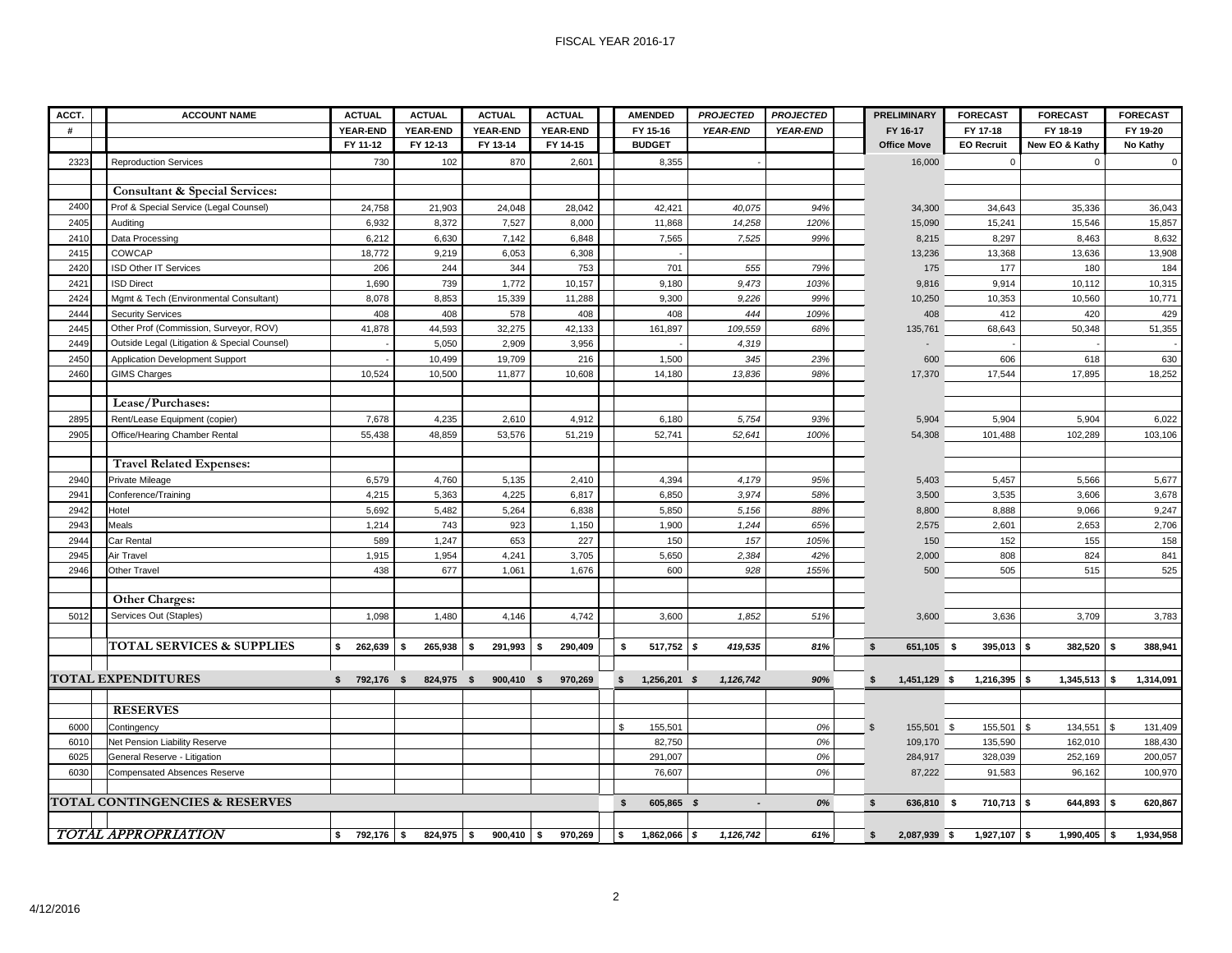#### FISCAL YEAR 2016-17

| ACCT. | <b>ACCOUNT NAME</b>                          | <b>ACTUAL</b>      | <b>ACTUAL</b>   | <b>ACTUAL</b>        | <b>ACTUAL</b>   | <b>AMENDED</b>            | <b>PROJECTED</b> | <b>PROJECTED</b> | <b>PRELIMINARY</b>           | <b>FORECAST</b>      | <b>FORECAST</b> | <b>FORECAST</b> |
|-------|----------------------------------------------|--------------------|-----------------|----------------------|-----------------|---------------------------|------------------|------------------|------------------------------|----------------------|-----------------|-----------------|
| #     |                                              | <b>YEAR-END</b>    | <b>YEAR-END</b> | <b>YEAR-END</b>      | <b>YEAR-END</b> | FY 15-16                  | <b>YEAR-END</b>  | <b>YEAR-END</b>  | FY 16-17                     | FY 17-18             | FY 18-19        | FY 19-20        |
|       |                                              | FY 11-12           | FY 12-13        | FY 13-14             | FY 14-15        | <b>BUDGET</b>             |                  |                  | <b>Office Move</b>           | <b>EO Recruit</b>    | New EO & Kathy  | No Kathy        |
| 2323  | <b>Reproduction Services</b>                 | 730                | 102             | 870                  | 2,601           | 8,355                     |                  |                  | 16,000                       | $\mathbf 0$          | $\Omega$        | $\mathbf 0$     |
|       |                                              |                    |                 |                      |                 |                           |                  |                  |                              |                      |                 |                 |
|       | Consultant & Special Services:               |                    |                 |                      |                 |                           |                  |                  |                              |                      |                 |                 |
| 2400  | Prof & Special Service (Legal Counsel)       | 24,758             | 21,903          | 24,048               | 28,042          | 42,421                    | 40,075           | 94%              | 34,300                       | 34,643               | 35,336          | 36,043          |
| 2405  | Auditing                                     | 6,932              | 8,372           | 7,527                | 8,000           | 11,868                    | 14,258           | 120%             | 15,090                       | 15,241               | 15,546          | 15,857          |
| 2410  | Data Processing                              | 6,212              | 6,630           | 7,142                | 6,848           | 7,565                     | 7,525            | 99%              | 8,215                        | 8,297                | 8,463           | 8,632           |
| 2415  | COWCAP                                       | 18,772             | 9,219           | 6,053                | 6,308           |                           |                  |                  | 13,236                       | 13,368               | 13,636          | 13,908          |
| 2420  | ISD Other IT Services                        | 206                | 244             | 344                  | 753             | 701                       | 555              | 79%              | 175                          | 177                  | 180             | 184             |
| 2421  | <b>ISD Direct</b>                            | 1,690              | 739             | 1,772                | 10,157          | 9,180                     | 9,473            | 103%             | 9,816                        | 9,914                | 10,112          | 10,315          |
| 2424  | Mgmt & Tech (Environmental Consultant)       | 8,078              | 8,853           | 15,339               | 11,288          | 9,300                     | 9,226            | 99%              | 10,250                       | 10,353               | 10,560          | 10,771          |
| 2444  | <b>Security Services</b>                     | 408                | 408             | 578                  | 408             | 408                       | 444              | 109%             | 408                          | 412                  | 420             | 429             |
| 2445  | Other Prof (Commission, Surveyor, ROV)       | 41,878             | 44,593          | 32,275               | 42,133          | 161,897                   | 109,559          | 68%              | 135,761                      | 68,643               | 50,348          | 51,355          |
| 2449  | Outside Legal (Litigation & Special Counsel) |                    | 5,050           | 2,909                | 3,956           |                           | 4,319            |                  |                              |                      |                 |                 |
| 2450  | Application Development Support              |                    | 10,499          | 19,709               | 216             | 1,500                     | 345              | 23%              | 600                          | 606                  | 618             | 630             |
| 2460  | <b>GIMS Charges</b>                          | 10,524             | 10,500          | 11,877               | 10,608          | 14,180                    | 13,836           | 98%              | 17,370                       | 17,544               | 17,895          | 18,252          |
|       |                                              |                    |                 |                      |                 |                           |                  |                  |                              |                      |                 |                 |
|       | Lease/Purchases:                             |                    |                 |                      |                 |                           |                  |                  |                              |                      |                 |                 |
| 2895  | Rent/Lease Equipment (copier)                | 7,678              | 4,235           | 2,610                | 4,912           | 6,180                     | 5,754            | 93%              | 5,904                        | 5,904                | 5,904           | 6,022           |
| 2905  | Office/Hearing Chamber Rental                | 55,438             | 48,859          | 53,576               | 51,219          | 52,741                    | 52,641           | 100%             | 54,308                       | 101,488              | 102,289         | 103,106         |
|       |                                              |                    |                 |                      |                 |                           |                  |                  |                              |                      |                 |                 |
|       | <b>Travel Related Expenses:</b>              |                    |                 |                      |                 |                           |                  |                  |                              |                      |                 |                 |
| 2940  | Private Mileage                              | 6,579              | 4,760           | 5,135                | 2,410           | 4,394                     | 4,179            | 95%              | 5,403                        | 5,457                | 5,566           | 5,677           |
| 2941  | Conference/Training                          | 4,215              | 5,363           | 4,225                | 6,817           | 6,850                     | 3,974            | 58%              | 3,500                        | 3,535                | 3,606           | 3,678           |
| 2942  | Hotel                                        | 5,692              | 5,482           | 5,264                | 6,838           | 5,850                     | 5,156            | 88%              | 8,800                        | 8,888                | 9,066           | 9,247           |
| 2943  | Meals                                        | 1,214              | 743             | 923                  | 1,150           | 1,900                     | 1,244            | 65%              | 2,575                        | 2,601                | 2,653           | 2,706           |
| 2944  | Car Rental                                   | 589                | 1,247           | 653                  | 227             | 150                       | 157              | 105%             | 150                          | 152                  | 155             | 158             |
| 2945  | Air Travel                                   | 1,915              | 1,954           | 4,241                | 3,705           | 5,650                     | 2,384            | 42%              | 2,000                        | 808                  | 824             | 841             |
| 2946  | Other Travel                                 | 438                | 677             | 1,061                | 1,676           | 600                       | 928              | 155%             | 500                          | 505                  | 515             | 525             |
|       |                                              |                    |                 |                      |                 |                           |                  |                  |                              |                      |                 |                 |
|       | <b>Other Charges:</b>                        |                    |                 |                      |                 |                           |                  |                  |                              |                      |                 |                 |
| 5012  | Services Out (Staples)                       | 1,098              | 1,480           | 4,146                | 4,742           | 3,600                     | 1,852            | 51%              | 3,600                        | 3,636                | 3,709           | 3,783           |
|       |                                              |                    |                 |                      |                 |                           |                  |                  |                              |                      |                 |                 |
|       | <b>TOTAL SERVICES &amp; SUPPLIES</b>         | $262,639$ \$<br>s. | 265,938         | $291,993$ \$<br>- \$ | 290,409         | 517,752<br>s.             | 419,535<br>- \$  | 81%              | $\mathbf{s}$<br>651,105 \$   | $395,013$ \$         | 382,520         | 388,941<br>- \$ |
|       |                                              |                    |                 |                      |                 |                           |                  |                  |                              |                      |                 |                 |
|       | <b>TOTAL EXPENDITURES</b>                    | $$792,176$ \$      | 824,975 \$      | 900,410 \$           | 970,269         | $1,256,201$ \$<br>£.      | 1,126,742        | 90%              | 1,451,129 \$<br>\$           | $1,216,395$ \$       | 1,345,513       | 1,314,091<br>\$ |
|       |                                              |                    |                 |                      |                 |                           |                  |                  |                              |                      |                 |                 |
|       | <b>RESERVES</b>                              |                    |                 |                      |                 |                           |                  |                  |                              |                      |                 |                 |
| 6000  | Contingency                                  |                    |                 |                      |                 | $\mathfrak{s}$<br>155,501 |                  | 0%               | $\mathfrak{s}$<br>155,501 \$ | 155,501 \$           | 134,551 \$      | 131,409         |
| 6010  | Net Pension Liability Reserve                |                    |                 |                      |                 | 82,750                    |                  | 0%               | 109,170                      | 135,590              | 162,010         | 188,430         |
| 6025  | General Reserve - Litigation                 |                    |                 |                      |                 | 291,007                   |                  | 0%               | 284,917                      | 328,039              | 252,169         | 200,057         |
| 6030  | <b>Compensated Absences Reserve</b>          |                    |                 |                      |                 | 76,607                    |                  | 0%               | 87,222                       | 91,583               | 96,162          | 100,970         |
|       |                                              |                    |                 |                      |                 |                           |                  |                  |                              |                      |                 |                 |
|       | TOTAL CONTINGENCIES & RESERVES               |                    |                 |                      |                 | 605,865 \$<br>\$          |                  | 0%               | $\sqrt{2}$<br>636,810        | $710,713$ \$<br>- \$ | 644,893         | 620.867         |
|       |                                              |                    |                 |                      |                 |                           |                  |                  |                              |                      |                 |                 |
|       | <b>TOTAL APPROPRIATION</b>                   | s.<br>792,176 \$   | 824,975 \$      | $900,410$ \$         | 970,269         | s.<br>$1,862,066$ \$      | 1,126,742        | 61%              | 2,087,939 \$<br>-S           | $1,927,107$ \$       | $1,990,405$ \$  | 1,934,958       |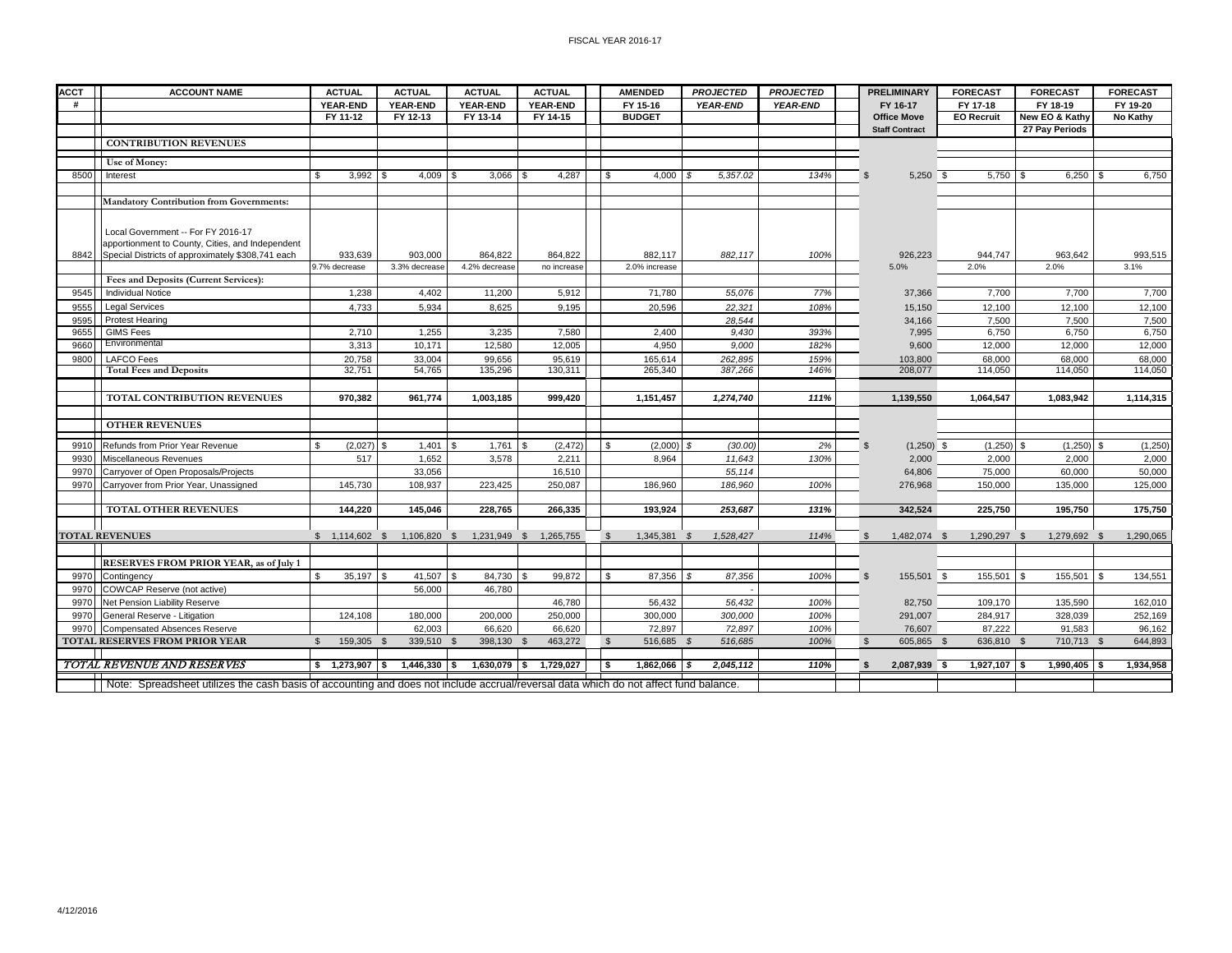| <b>ACCT</b> | <b>ACCOUNT NAME</b>                                                                                                                  | <b>ACTUAL</b>                | <b>ACTUAL</b>                | <b>ACTUAL</b>          | <b>ACTUAL</b>   | <b>AMENDED</b>               | <b>PROJECTED</b>    | <b>PROJECTED</b> | <b>PRELIMINARY</b>           | <b>FORECAST</b>   | <b>FORECAST</b>    | <b>FORECAST</b> |
|-------------|--------------------------------------------------------------------------------------------------------------------------------------|------------------------------|------------------------------|------------------------|-----------------|------------------------------|---------------------|------------------|------------------------------|-------------------|--------------------|-----------------|
| #           |                                                                                                                                      | YEAR-END                     | <b>YEAR-END</b>              | <b>YEAR-END</b>        | <b>YEAR-END</b> | FY 15-16                     | <b>YEAR-END</b>     | <b>YEAR-END</b>  | FY 16-17                     | FY 17-18          | FY 18-19           | FY 19-20        |
|             |                                                                                                                                      | FY 11-12                     | FY 12-13                     | FY 13-14               | FY 14-15        | <b>BUDGET</b>                |                     |                  | <b>Office Move</b>           | <b>EO Recruit</b> | New EO & Kathy     | No Kathy        |
|             |                                                                                                                                      |                              |                              |                        |                 |                              |                     |                  | <b>Staff Contract</b>        |                   | 27 Pay Periods     |                 |
|             | <b>CONTRIBUTION REVENUES</b>                                                                                                         |                              |                              |                        |                 |                              |                     |                  |                              |                   |                    |                 |
|             |                                                                                                                                      |                              |                              |                        |                 |                              |                     |                  |                              |                   |                    |                 |
|             | Use of Money:                                                                                                                        |                              |                              |                        |                 |                              |                     |                  |                              |                   |                    |                 |
| 8500        | Interest                                                                                                                             | 3,992<br>- \$                | 4,009<br>l \$<br>- 9         | 3,066                  | 4,287<br>- \$   | 4,000<br>- \$                | 5,357.02<br>- \$    | 134%             | $5,250$ \$<br>$\mathbf{S}$   | 5,750             | $6,250$ \$<br>- \$ | 6,750           |
|             |                                                                                                                                      |                              |                              |                        |                 |                              |                     |                  |                              |                   |                    |                 |
|             | <b>Mandatory Contribution from Governments:</b>                                                                                      |                              |                              |                        |                 |                              |                     |                  |                              |                   |                    |                 |
|             |                                                                                                                                      |                              |                              |                        |                 |                              |                     |                  |                              |                   |                    |                 |
|             | Local Government -- For FY 2016-17                                                                                                   |                              |                              |                        |                 |                              |                     |                  |                              |                   |                    |                 |
|             | apportionment to County, Cities, and Independent                                                                                     |                              |                              |                        |                 |                              |                     |                  |                              |                   |                    |                 |
| 8842        | Special Districts of approximately \$308,741 each                                                                                    | 933,639                      | 903,000                      | 864,822                | 864,822         | 882,117                      | 882.117             | 100%             | 926,223                      | 944.747           | 963,642            | 993,515         |
|             |                                                                                                                                      | 9.7% decrease                | 3.3% decrease                | 4.2% decrease          | no increase     | 2.0% increase                |                     |                  | 5.0%                         | 2.0%              | 2.0%               | 3.1%            |
|             | Fees and Deposits (Current Services):                                                                                                |                              |                              |                        |                 |                              |                     |                  |                              |                   |                    |                 |
| 9545        | <b>Individual Notice</b>                                                                                                             | 1,238                        | 4,402                        | 11,200                 | 5,912           | 71,780                       | 55,076              | 77%              | 37,366                       | 7,700             | 7,700              | 7,700           |
| 9555        | <b>Legal Services</b>                                                                                                                | 4,733                        | 5.934                        | 8.625                  | 9,195           | 20,596                       | 22.321              | 108%             | 15.150                       | 12,100            | 12,100             | 12,100          |
| 9595        | Protest Hearing                                                                                                                      |                              |                              |                        |                 |                              | 28,544              |                  | 34,166                       | 7.500             | 7.500              | 7,500           |
| 9655        | <b>GIMS Fees</b>                                                                                                                     | 2,710                        | 1,255                        | 3.235                  | 7,580           | 2,400                        | 9,430               | 393%             | 7,995                        | 6,750             | 6,750              | 6,750           |
| 9660        | Environmental                                                                                                                        | 3,313                        | 10,171                       | 12,580                 | 12,005          | 4.950                        | 9,000               | 182%             | 9,600                        | 12,000            | 12,000             | 12,000          |
| 9800        | <b>LAFCO Fees</b>                                                                                                                    | 20,758                       | 33,004                       | 99,656                 | 95,619          | 165,614                      | 262,895             | 159%             | 103,800                      | 68,000            | 68,000             | 68,000          |
|             | <b>Total Fees and Deposits</b>                                                                                                       | 32,751                       | 54.765                       | 135,296                | 130,311         | 265,340                      | 387,266             | 146%             | 208,077                      | 114.050           | 114,050            | 114,050         |
|             |                                                                                                                                      |                              |                              |                        |                 |                              |                     |                  |                              |                   |                    |                 |
|             | TOTAL CONTRIBUTION REVENUES                                                                                                          | 970.382                      | 961,774                      | 1.003.185              | 999.420         | 1,151,457                    | 1,274,740           | 111%             | 1.139.550                    | 1.064.547         | 1.083.942          | 1,114,315       |
|             |                                                                                                                                      |                              |                              |                        |                 |                              |                     |                  |                              |                   |                    |                 |
|             | <b>OTHER REVENUES</b>                                                                                                                |                              |                              |                        |                 |                              |                     |                  |                              |                   |                    |                 |
| 9910        | Refunds from Prior Year Revenue                                                                                                      | $(2,027)$ \$                 | 1,401<br>$\mathbf{\$}$       | 1,761                  | (2, 472)<br>\$. | $\mathfrak{L}$<br>(2,000)    | <b>S</b><br>(30.00) | 2%               | $\mathbf{s}$<br>$(1,250)$ \$ | $(1,250)$ \$      | $(1,250)$ \$       | (1, 250)        |
| 9930        | Miscellaneous Revenues                                                                                                               | 517                          | 1,652                        | 3,578                  | 2,211           | 8.964                        | 11,643              | 130%             | 2,000                        | 2.000             | 2,000              | 2,000           |
| 9970        | Carryover of Open Proposals/Projects                                                                                                 |                              | 33.056                       |                        | 16.510          |                              | 55.114              |                  | 64,806                       | 75,000            | 60.000             | 50,000          |
| 9970        | Carryover from Prior Year, Unassigned                                                                                                | 145.730                      | 108.937                      | 223.425                | 250,087         | 186,960                      | 186,960             | 100%             | 276,968                      | 150,000           | 135.000            | 125,000         |
|             |                                                                                                                                      |                              |                              |                        |                 |                              |                     |                  |                              |                   |                    |                 |
|             | <b>TOTAL OTHER REVENUES</b>                                                                                                          | 144.220                      | 145.046                      | 228.765                | 266.335         | 193,924                      | 253.687             | 131%             | 342.524                      | 225.750           | 195.750            | 175,750         |
|             |                                                                                                                                      |                              |                              |                        |                 |                              |                     |                  |                              |                   |                    |                 |
|             | <b>TOTAL REVENUES</b>                                                                                                                |                              | $$1,114,602$ \$ 1,106,820 \$ | 1,231,949 \$ 1,265,755 |                 | $\mathbb{S}$<br>1,345,381 \$ | 1,528,427           | 114%             | -S<br>1,482,074 \$           | 1,290,297 \$      | 1,279,692 \$       | 1,290,065       |
|             |                                                                                                                                      |                              |                              |                        |                 |                              |                     |                  |                              |                   |                    |                 |
|             | <b>RESERVES FROM PRIOR YEAR, as of July 1</b>                                                                                        |                              |                              |                        |                 |                              |                     |                  |                              |                   |                    |                 |
| 9970        | Contingency                                                                                                                          | 35,197<br>-S                 | 41,507<br>l S                | 84,730<br>- \$         | 99,872          | \$<br>87,356                 | 87,356<br>-S        | 100%             | $\mathbf{s}$<br>155,501 \$   | 155,501           | 155,501<br>- \$    | 134,551         |
| 9970        | COWCAP Reserve (not active)                                                                                                          |                              | 56,000                       | 46,780                 |                 |                              |                     |                  |                              |                   |                    |                 |
| 9970        | Net Pension Liability Reserve                                                                                                        |                              |                              |                        | 46,780          | 56,432                       | 56,432              | 100%             | 82,750                       | 109,170           | 135,590            | 162,010         |
| 9970        | General Reserve - Litigation                                                                                                         | 124,108                      | 180,000                      | 200,000                | 250,000         | 300,000                      | 300,000             | 100%             | 291,007                      | 284,917           | 328,039            | 252,169         |
| 9970        | Compensated Absences Reserve                                                                                                         |                              | 62.003                       | 66.620                 | 66,620          | 72.897                       | 72.897              | 100%             | 76,607                       | 87.222            | 91.583             | 96,162          |
|             | <b>TOTAL RESERVES FROM PRIOR YEAR</b>                                                                                                | 159,305 \$<br>$\mathfrak{L}$ | 339.510 \$                   | 398.130 \$             | 463.272         | $\mathbb{S}$<br>516.685 \$   | 516.685             | 100%             | $\mathbf{s}$<br>605.865 \$   | 636.810 \$        | 710,713 \$         | 644.893         |
|             |                                                                                                                                      |                              |                              |                        |                 |                              |                     |                  |                              |                   |                    |                 |
|             | <b>TOTAL REVENUE AND RESERVES</b>                                                                                                    | $$1,273,907$ \$              | $1,446,330$ \$               | $1,630,079$ \$         | 1.729.027       | 1,862,066 \$<br>S.           | 2,045,112           | 110%             | -S<br>2,087,939 \$           | $1,927,107$ \$    | $1,990,405$ \$     | 1,934,958       |
|             | Note: Spreadsheet utilizes the cash basis of accounting and does not include accrual/reversal data which do not affect fund balance. |                              |                              |                        |                 |                              |                     |                  |                              |                   |                    |                 |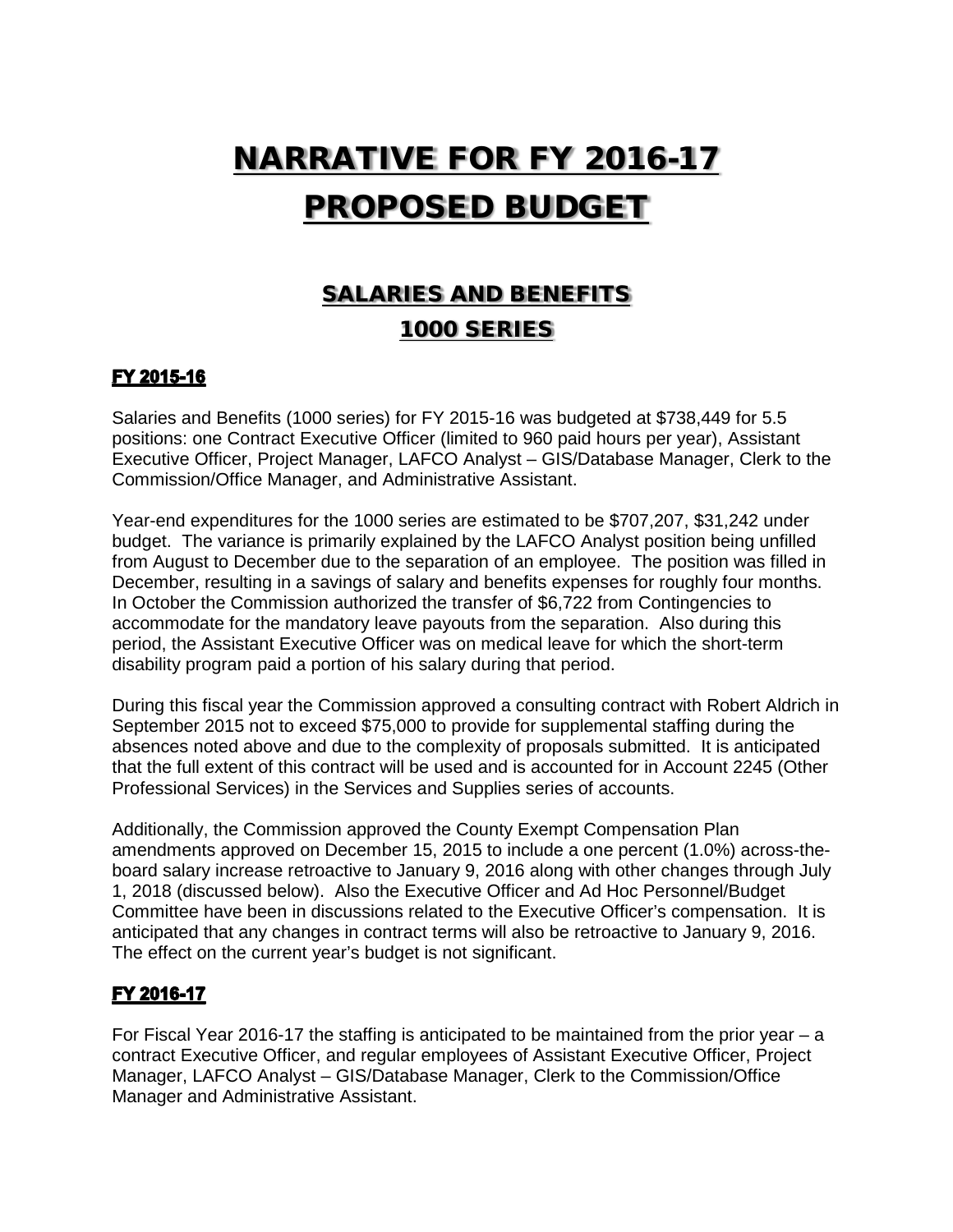# NARRATIVE FOR FY 2016-17 PROPOSED BUDGET

### SALARIES AND BENEFITS 1000 SERIES

#### FY 2015-16

Salaries and Benefits (1000 series) for FY 2015-16 was budgeted at \$738,449 for 5.5 positions: one Contract Executive Officer (limited to 960 paid hours per year), Assistant Executive Officer, Project Manager, LAFCO Analyst – GIS/Database Manager, Clerk to the Commission/Office Manager, and Administrative Assistant.

Year-end expenditures for the 1000 series are estimated to be \$707,207, \$31,242 under budget. The variance is primarily explained by the LAFCO Analyst position being unfilled from August to December due to the separation of an employee. The position was filled in December, resulting in a savings of salary and benefits expenses for roughly four months. In October the Commission authorized the transfer of \$6,722 from Contingencies to accommodate for the mandatory leave payouts from the separation. Also during this period, the Assistant Executive Officer was on medical leave for which the short-term disability program paid a portion of his salary during that period.

During this fiscal year the Commission approved a consulting contract with Robert Aldrich in September 2015 not to exceed \$75,000 to provide for supplemental staffing during the absences noted above and due to the complexity of proposals submitted. It is anticipated that the full extent of this contract will be used and is accounted for in Account 2245 (Other Professional Services) in the Services and Supplies series of accounts.

Additionally, the Commission approved the County Exempt Compensation Plan amendments approved on December 15, 2015 to include a one percent (1.0%) across-theboard salary increase retroactive to January 9, 2016 along with other changes through July 1, 2018 (discussed below). Also the Executive Officer and Ad Hoc Personnel/Budget Committee have been in discussions related to the Executive Officer's compensation. It is anticipated that any changes in contract terms will also be retroactive to January 9, 2016. The effect on the current year's budget is not significant.

#### FY 2016-17

For Fiscal Year 2016-17 the staffing is anticipated to be maintained from the prior year  $-$  a contract Executive Officer, and regular employees of Assistant Executive Officer, Project Manager, LAFCO Analyst – GIS/Database Manager, Clerk to the Commission/Office Manager and Administrative Assistant.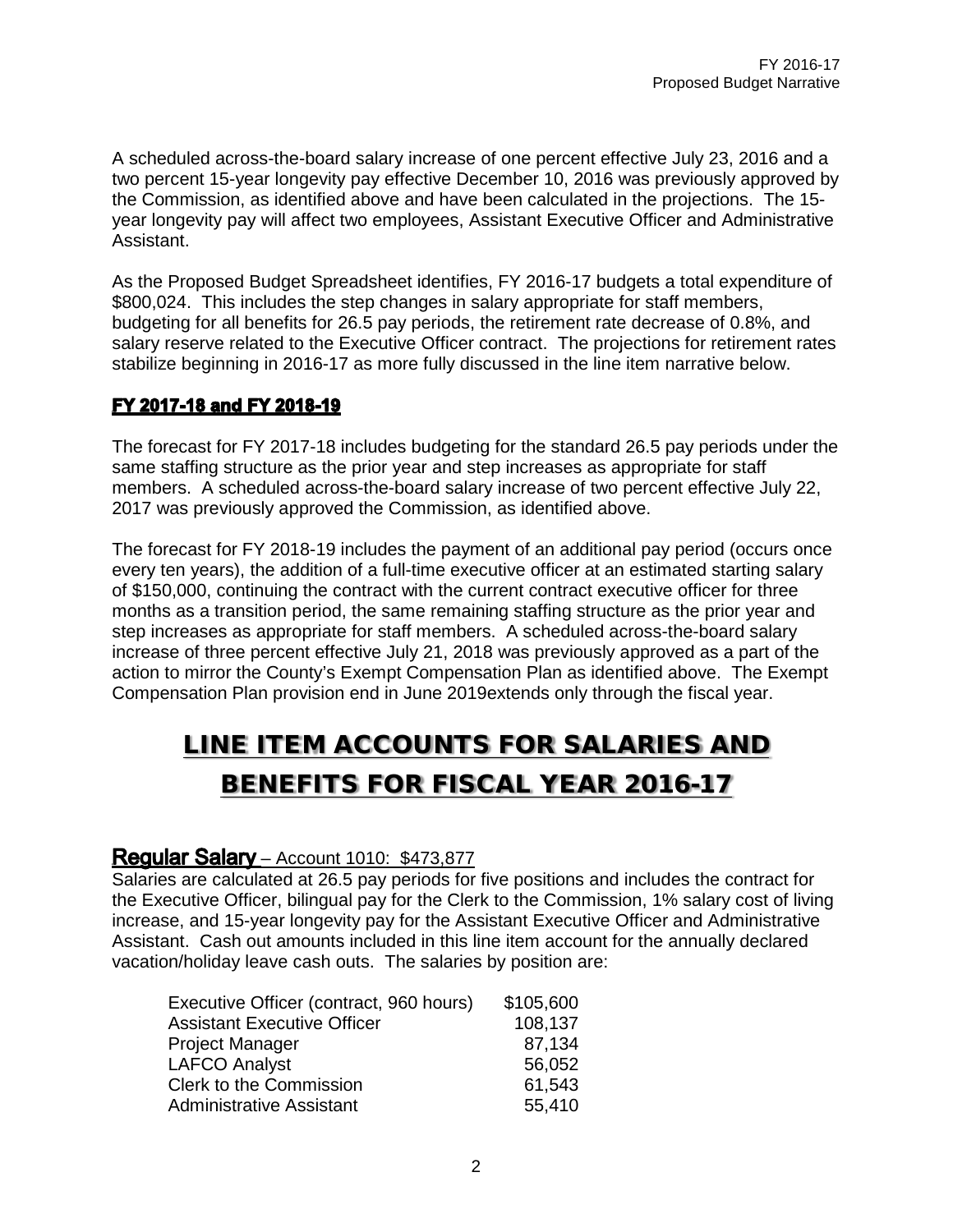A scheduled across-the-board salary increase of one percent effective July 23, 2016 and a two percent 15-year longevity pay effective December 10, 2016 was previously approved by the Commission, as identified above and have been calculated in the projections. The 15 year longevity pay will affect two employees, Assistant Executive Officer and Administrative Assistant.

As the Proposed Budget Spreadsheet identifies, FY 2016-17 budgets a total expenditure of \$800,024. This includes the step changes in salary appropriate for staff members, budgeting for all benefits for 26.5 pay periods, the retirement rate decrease of 0.8%, and salary reserve related to the Executive Officer contract. The projections for retirement rates stabilize beginning in 2016-17 as more fully discussed in the line item narrative below.

#### FY 2017-18 and FY 2018-19

The forecast for FY 2017-18 includes budgeting for the standard 26.5 pay periods under the same staffing structure as the prior year and step increases as appropriate for staff members. A scheduled across-the-board salary increase of two percent effective July 22, 2017 was previously approved the Commission, as identified above.

The forecast for FY 2018-19 includes the payment of an additional pay period (occurs once every ten years), the addition of a full-time executive officer at an estimated starting salary of \$150,000, continuing the contract with the current contract executive officer for three months as a transition period, the same remaining staffing structure as the prior year and step increases as appropriate for staff members. A scheduled across-the-board salary increase of three percent effective July 21, 2018 was previously approved as a part of the action to mirror the County's Exempt Compensation Plan as identified above. The Exempt Compensation Plan provision end in June 2019extends only through the fiscal year.

## LINE ITEM ACCOUNTS FOR SALARIES AND BENEFITS FOR FISCAL YEAR 2016-17

#### **Regular Salary** – Account 1010: \$473,877

Salaries are calculated at 26.5 pay periods for five positions and includes the contract for the Executive Officer, bilingual pay for the Clerk to the Commission, 1% salary cost of living increase, and 15-year longevity pay for the Assistant Executive Officer and Administrative Assistant. Cash out amounts included in this line item account for the annually declared vacation/holiday leave cash outs. The salaries by position are:

| Executive Officer (contract, 960 hours) | \$105,600 |
|-----------------------------------------|-----------|
| <b>Assistant Executive Officer</b>      | 108,137   |
| <b>Project Manager</b>                  | 87,134    |
| <b>LAFCO Analyst</b>                    | 56,052    |
| <b>Clerk to the Commission</b>          | 61,543    |
| <b>Administrative Assistant</b>         | 55,410    |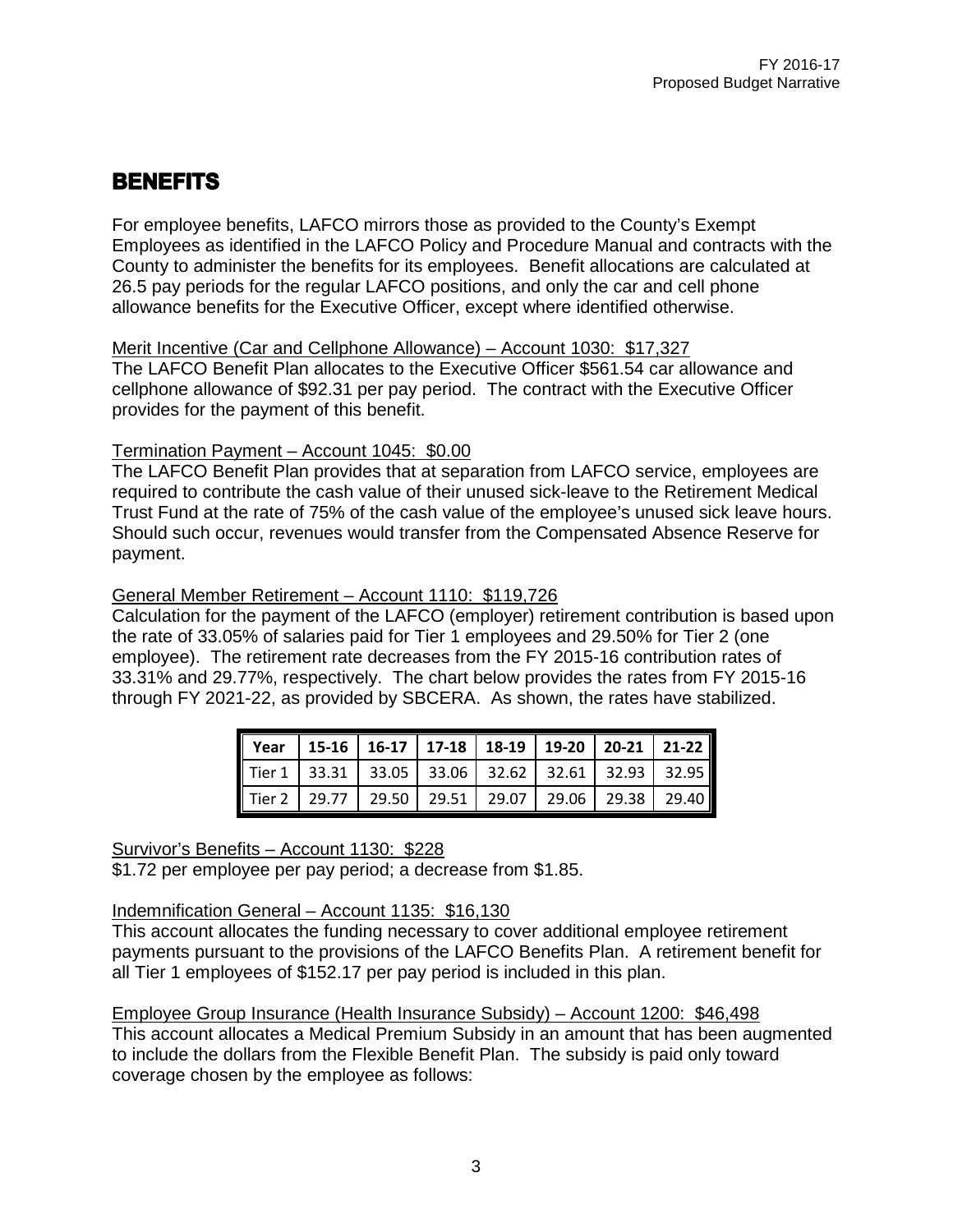### **BENEFITS**

For employee benefits, LAFCO mirrors those as provided to the County's Exempt Employees as identified in the LAFCO Policy and Procedure Manual and contracts with the County to administer the benefits for its employees. Benefit allocations are calculated at 26.5 pay periods for the regular LAFCO positions, and only the car and cell phone allowance benefits for the Executive Officer, except where identified otherwise.

#### Merit Incentive (Car and Cellphone Allowance) – Account 1030: \$17,327

The LAFCO Benefit Plan allocates to the Executive Officer \$561.54 car allowance and cellphone allowance of \$92.31 per pay period. The contract with the Executive Officer provides for the payment of this benefit.

#### Termination Payment – Account 1045: \$0.00

The LAFCO Benefit Plan provides that at separation from LAFCO service, employees are required to contribute the cash value of their unused sick-leave to the Retirement Medical Trust Fund at the rate of 75% of the cash value of the employee's unused sick leave hours. Should such occur, revenues would transfer from the Compensated Absence Reserve for payment.

#### General Member Retirement – Account 1110: \$119,726

Calculation for the payment of the LAFCO (employer) retirement contribution is based upon the rate of 33.05% of salaries paid for Tier 1 employees and 29.50% for Tier 2 (one employee). The retirement rate decreases from the FY 2015-16 contribution rates of 33.31% and 29.77%, respectively. The chart below provides the rates from FY 2015-16 through FY 2021-22, as provided by SBCERA. As shown, the rates have stabilized.

|  |  | Year 15-16 16-17 17-18 18-19 19-20 20-21 21-22   |  |
|--|--|--------------------------------------------------|--|
|  |  | Tier 1 33.31 33.05 33.06 32.62 32.61 32.93 32.95 |  |
|  |  | Tier 2 29.77 29.50 29.51 29.07 29.06 29.38 29.40 |  |

Survivor's Benefits – Account 1130: \$228

\$1.72 per employee per pay period; a decrease from \$1.85.

#### Indemnification General – Account 1135: \$16,130

This account allocates the funding necessary to cover additional employee retirement payments pursuant to the provisions of the LAFCO Benefits Plan. A retirement benefit for all Tier 1 employees of \$152.17 per pay period is included in this plan.

Employee Group Insurance (Health Insurance Subsidy) – Account 1200: \$46,498 This account allocates a Medical Premium Subsidy in an amount that has been augmented to include the dollars from the Flexible Benefit Plan. The subsidy is paid only toward coverage chosen by the employee as follows: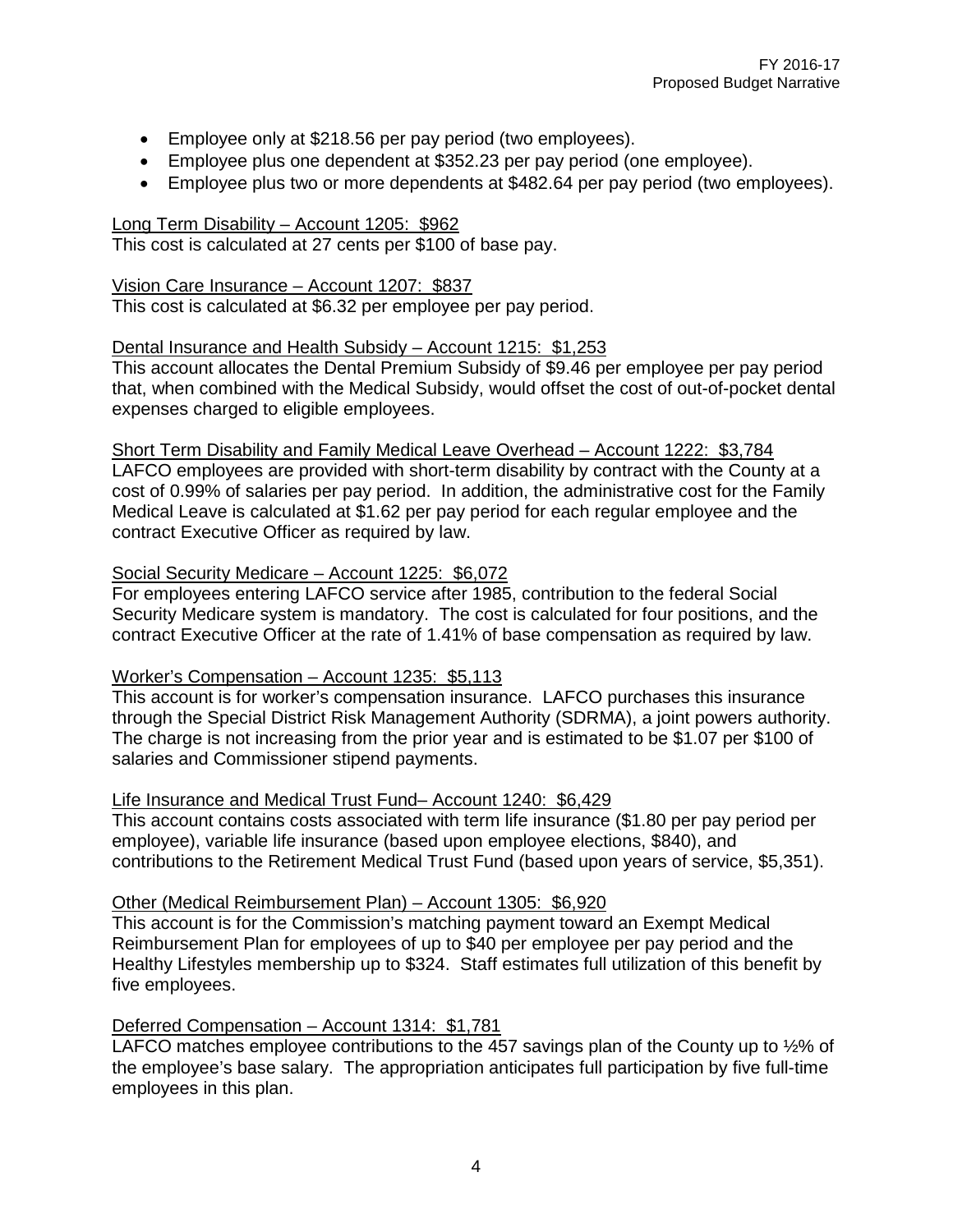- Employee only at \$218.56 per pay period (two employees).
- Employee plus one dependent at \$352.23 per pay period (one employee).
- Employee plus two or more dependents at \$482.64 per pay period (two employees).

#### Long Term Disability – Account 1205: \$962

This cost is calculated at 27 cents per \$100 of base pay.

#### Vision Care Insurance – Account 1207: \$837

This cost is calculated at \$6.32 per employee per pay period.

#### Dental Insurance and Health Subsidy – Account 1215: \$1,253

This account allocates the Dental Premium Subsidy of \$9.46 per employee per pay period that, when combined with the Medical Subsidy, would offset the cost of out-of-pocket dental expenses charged to eligible employees.

#### Short Term Disability and Family Medical Leave Overhead – Account 1222: \$3,784 LAFCO employees are provided with short-term disability by contract with the County at a

cost of 0.99% of salaries per pay period. In addition, the administrative cost for the Family Medical Leave is calculated at \$1.62 per pay period for each regular employee and the contract Executive Officer as required by law.

#### Social Security Medicare – Account 1225: \$6,072

For employees entering LAFCO service after 1985, contribution to the federal Social Security Medicare system is mandatory. The cost is calculated for four positions, and the contract Executive Officer at the rate of 1.41% of base compensation as required by law.

#### Worker's Compensation – Account 1235: \$5,113

This account is for worker's compensation insurance. LAFCO purchases this insurance through the Special District Risk Management Authority (SDRMA), a joint powers authority. The charge is not increasing from the prior year and is estimated to be \$1.07 per \$100 of salaries and Commissioner stipend payments.

#### Life Insurance and Medical Trust Fund– Account 1240: \$6,429

This account contains costs associated with term life insurance (\$1.80 per pay period per employee), variable life insurance (based upon employee elections, \$840), and contributions to the Retirement Medical Trust Fund (based upon years of service, \$5,351).

#### Other (Medical Reimbursement Plan) – Account 1305: \$6,920

This account is for the Commission's matching payment toward an Exempt Medical Reimbursement Plan for employees of up to \$40 per employee per pay period and the Healthy Lifestyles membership up to \$324. Staff estimates full utilization of this benefit by five employees.

#### Deferred Compensation – Account 1314: \$1,781

LAFCO matches employee contributions to the 457 savings plan of the County up to  $1/2$ % of the employee's base salary. The appropriation anticipates full participation by five full-time employees in this plan.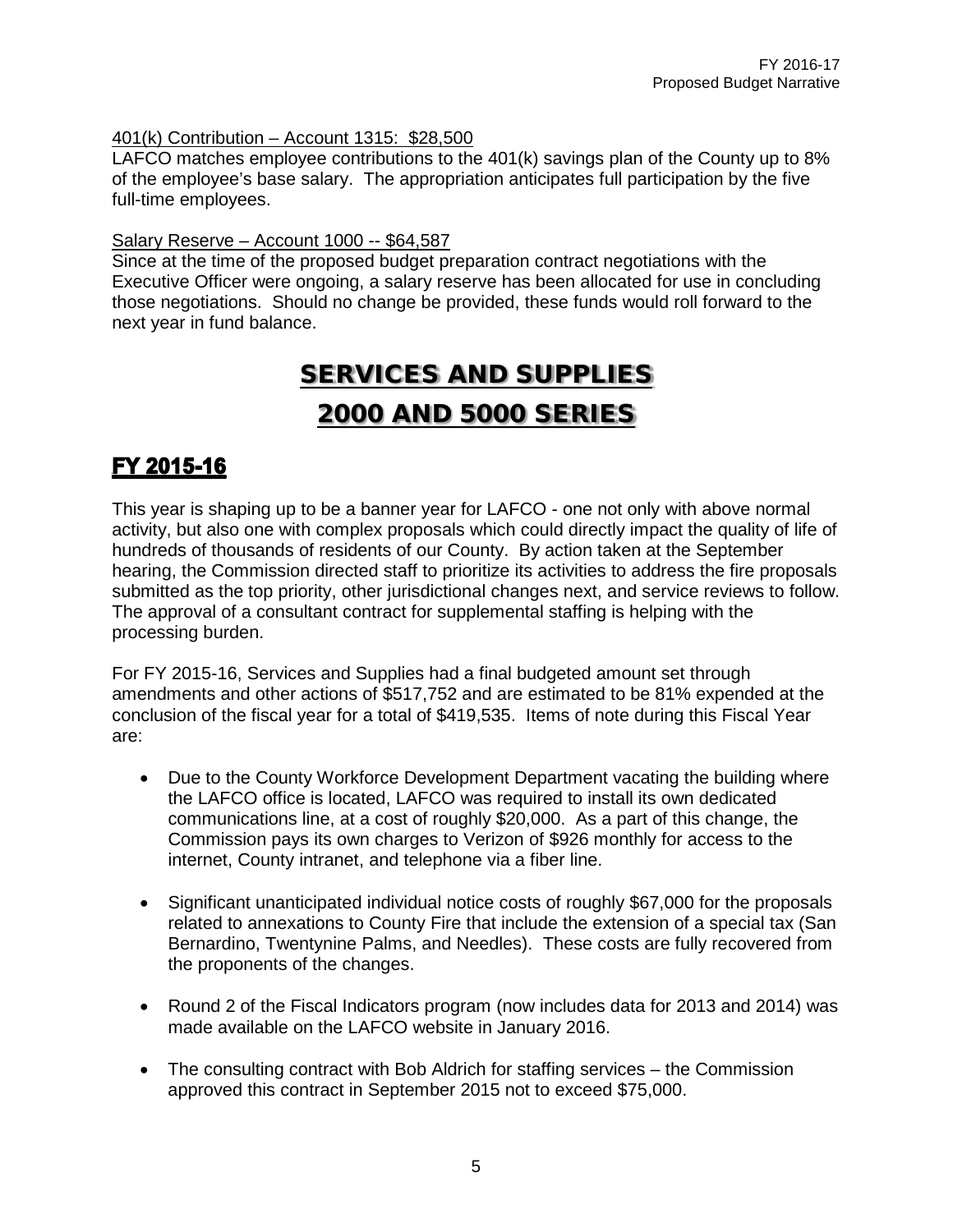#### 401(k) Contribution – Account 1315: \$28,500

LAFCO matches employee contributions to the 401(k) savings plan of the County up to 8% of the employee's base salary. The appropriation anticipates full participation by the five full-time employees.

#### Salary Reserve – Account 1000 -- \$64,587

Since at the time of the proposed budget preparation contract negotiations with the Executive Officer were ongoing, a salary reserve has been allocated for use in concluding those negotiations. Should no change be provided, these funds would roll forward to the next year in fund balance.

### SERVICES AND SUPPLIES 2000 AND 5000 SERIES

### FY 2015-16

This year is shaping up to be a banner year for LAFCO - one not only with above normal activity, but also one with complex proposals which could directly impact the quality of life of hundreds of thousands of residents of our County. By action taken at the September hearing, the Commission directed staff to prioritize its activities to address the fire proposals submitted as the top priority, other jurisdictional changes next, and service reviews to follow. The approval of a consultant contract for supplemental staffing is helping with the processing burden.

For FY 2015-16, Services and Supplies had a final budgeted amount set through amendments and other actions of \$517,752 and are estimated to be 81% expended at the conclusion of the fiscal year for a total of \$419,535. Items of note during this Fiscal Year are:

- Due to the County Workforce Development Department vacating the building where the LAFCO office is located, LAFCO was required to install its own dedicated communications line, at a cost of roughly \$20,000. As a part of this change, the Commission pays its own charges to Verizon of \$926 monthly for access to the internet, County intranet, and telephone via a fiber line.
- Significant unanticipated individual notice costs of roughly \$67,000 for the proposals related to annexations to County Fire that include the extension of a special tax (San Bernardino, Twentynine Palms, and Needles). These costs are fully recovered from the proponents of the changes.
- Round 2 of the Fiscal Indicators program (now includes data for 2013 and 2014) was made available on the LAFCO website in January 2016.
- The consulting contract with Bob Aldrich for staffing services the Commission approved this contract in September 2015 not to exceed \$75,000.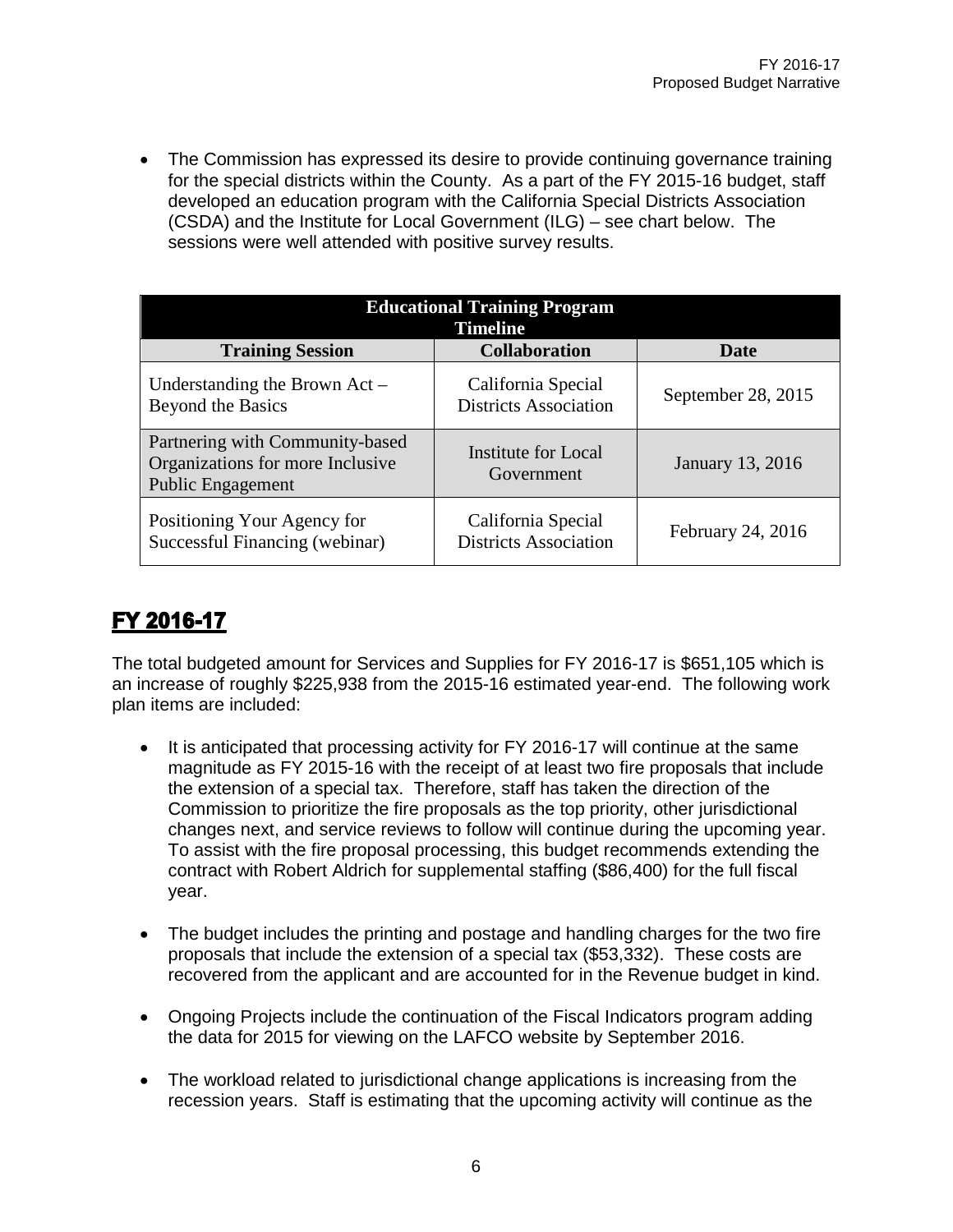• The Commission has expressed its desire to provide continuing governance training for the special districts within the County. As a part of the FY 2015-16 budget, staff developed an education program with the California Special Districts Association (CSDA) and the Institute for Local Government (ILG) – see chart below. The sessions were well attended with positive survey results.

| <b>Educational Training Program</b><br><b>Timeline</b>                                          |                                                    |                         |  |  |  |  |  |
|-------------------------------------------------------------------------------------------------|----------------------------------------------------|-------------------------|--|--|--|--|--|
| <b>Training Session</b>                                                                         | <b>Collaboration</b>                               | <b>Date</b>             |  |  |  |  |  |
| Understanding the Brown $Act -$<br>Beyond the Basics                                            | California Special<br><b>Districts Association</b> | September 28, 2015      |  |  |  |  |  |
| Partnering with Community-based<br>Organizations for more Inclusive<br><b>Public Engagement</b> | Institute for Local<br>Government                  | <b>January 13, 2016</b> |  |  |  |  |  |
| Positioning Your Agency for<br>Successful Financing (webinar)                                   | California Special<br><b>Districts Association</b> | February 24, 2016       |  |  |  |  |  |

### FY 2016-17

The total budgeted amount for Services and Supplies for FY 2016-17 is \$651,105 which is an increase of roughly \$225,938 from the 2015-16 estimated year-end. The following work plan items are included:

- It is anticipated that processing activity for FY 2016-17 will continue at the same magnitude as FY 2015-16 with the receipt of at least two fire proposals that include the extension of a special tax. Therefore, staff has taken the direction of the Commission to prioritize the fire proposals as the top priority, other jurisdictional changes next, and service reviews to follow will continue during the upcoming year. To assist with the fire proposal processing, this budget recommends extending the contract with Robert Aldrich for supplemental staffing (\$86,400) for the full fiscal year.
- The budget includes the printing and postage and handling charges for the two fire proposals that include the extension of a special tax (\$53,332). These costs are recovered from the applicant and are accounted for in the Revenue budget in kind.
- Ongoing Projects include the continuation of the Fiscal Indicators program adding the data for 2015 for viewing on the LAFCO website by September 2016.
- The workload related to jurisdictional change applications is increasing from the recession years. Staff is estimating that the upcoming activity will continue as the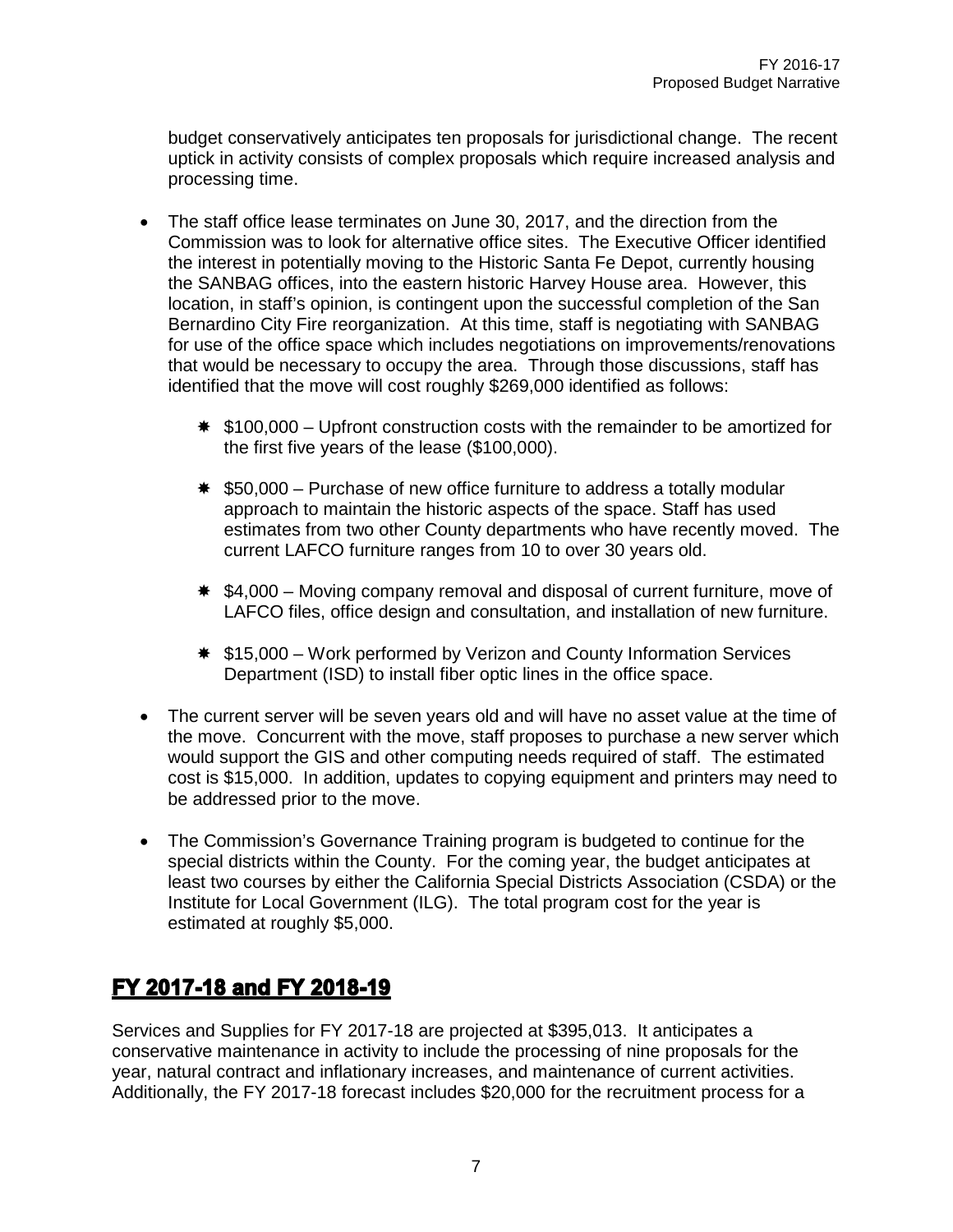budget conservatively anticipates ten proposals for jurisdictional change. The recent uptick in activity consists of complex proposals which require increased analysis and processing time.

- The staff office lease terminates on June 30, 2017, and the direction from the Commission was to look for alternative office sites. The Executive Officer identified the interest in potentially moving to the Historic Santa Fe Depot, currently housing the SANBAG offices, into the eastern historic Harvey House area. However, this location, in staff's opinion, is contingent upon the successful completion of the San Bernardino City Fire reorganization. At this time, staff is negotiating with SANBAG for use of the office space which includes negotiations on improvements/renovations that would be necessary to occupy the area. Through those discussions, staff has identified that the move will cost roughly \$269,000 identified as follows:
	- $*$  \$100,000 Upfront construction costs with the remainder to be amortized for the first five years of the lease (\$100,000).
	- $*$  \$50,000 Purchase of new office furniture to address a totally modular approach to maintain the historic aspects of the space. Staff has used estimates from two other County departments who have recently moved. The current LAFCO furniture ranges from 10 to over 30 years old.
	- $*$  \$4,000 Moving company removal and disposal of current furniture, move of LAFCO files, office design and consultation, and installation of new furniture.
	- $*$  **\$15,000 Work performed by Verizon and County Information Services** Department (ISD) to install fiber optic lines in the office space.
- The current server will be seven years old and will have no asset value at the time of the move. Concurrent with the move, staff proposes to purchase a new server which would support the GIS and other computing needs required of staff. The estimated cost is \$15,000. In addition, updates to copying equipment and printers may need to be addressed prior to the move.
- The Commission's Governance Training program is budgeted to continue for the special districts within the County. For the coming year, the budget anticipates at least two courses by either the California Special Districts Association (CSDA) or the Institute for Local Government (ILG). The total program cost for the year is estimated at roughly \$5,000.

### FY 2017-18 and FY 2018-19

Services and Supplies for FY 2017-18 are projected at \$395,013. It anticipates a conservative maintenance in activity to include the processing of nine proposals for the year, natural contract and inflationary increases, and maintenance of current activities. Additionally, the FY 2017-18 forecast includes \$20,000 for the recruitment process for a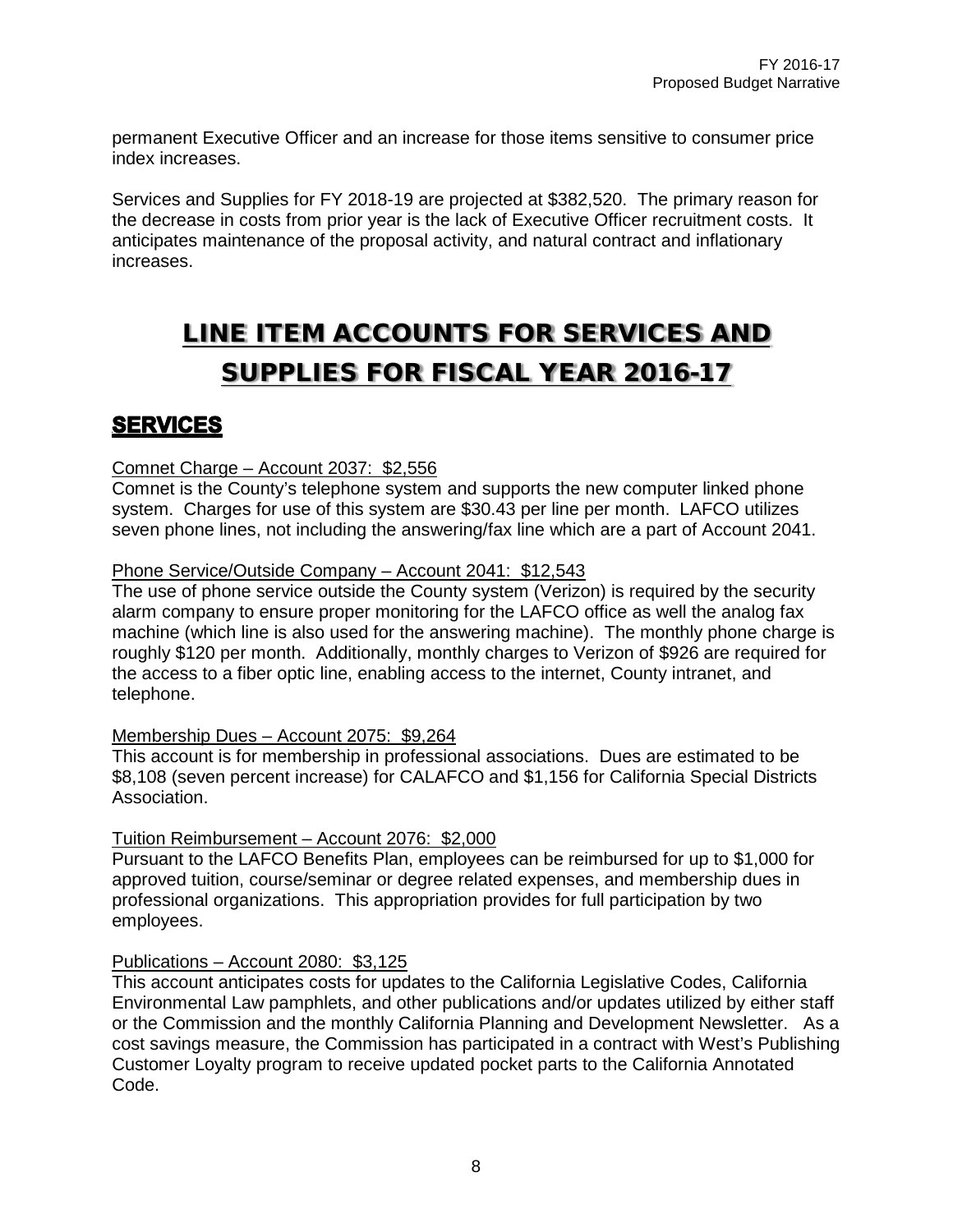permanent Executive Officer and an increase for those items sensitive to consumer price index increases.

Services and Supplies for FY 2018-19 are projected at \$382,520. The primary reason for the decrease in costs from prior year is the lack of Executive Officer recruitment costs. It anticipates maintenance of the proposal activity, and natural contract and inflationary increases.

# LINE ITEM ACCOUNTS FOR SERVICES AND SUPPLIES FOR FISCAL YEAR 2016-17

### **SERVICES**

#### Comnet Charge – Account 2037: \$2,556

Comnet is the County's telephone system and supports the new computer linked phone system. Charges for use of this system are \$30.43 per line per month. LAFCO utilizes seven phone lines, not including the answering/fax line which are a part of Account 2041.

#### Phone Service/Outside Company – Account 2041: \$12,543

The use of phone service outside the County system (Verizon) is required by the security alarm company to ensure proper monitoring for the LAFCO office as well the analog fax machine (which line is also used for the answering machine). The monthly phone charge is roughly \$120 per month. Additionally, monthly charges to Verizon of \$926 are required for the access to a fiber optic line, enabling access to the internet, County intranet, and telephone.

#### Membership Dues – Account 2075: \$9,264

This account is for membership in professional associations. Dues are estimated to be \$8,108 (seven percent increase) for CALAFCO and \$1,156 for California Special Districts Association.

#### Tuition Reimbursement – Account 2076: \$2,000

Pursuant to the LAFCO Benefits Plan, employees can be reimbursed for up to \$1,000 for approved tuition, course/seminar or degree related expenses, and membership dues in professional organizations. This appropriation provides for full participation by two employees.

#### Publications – Account 2080: \$3,125

This account anticipates costs for updates to the California Legislative Codes, California Environmental Law pamphlets, and other publications and/or updates utilized by either staff or the Commission and the monthly California Planning and Development Newsletter. As a cost savings measure, the Commission has participated in a contract with West's Publishing Customer Loyalty program to receive updated pocket parts to the California Annotated Code.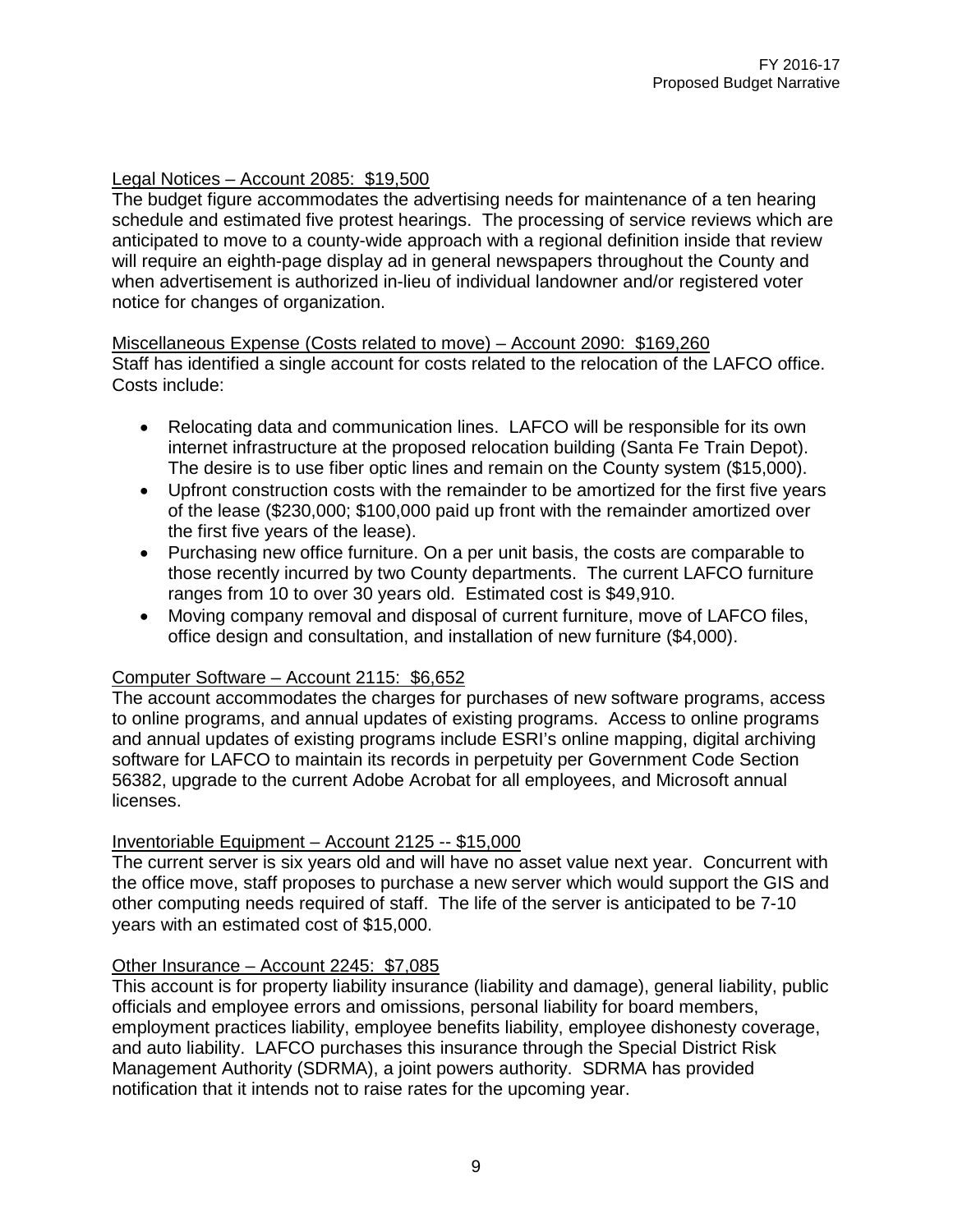#### Legal Notices – Account 2085: \$19,500

The budget figure accommodates the advertising needs for maintenance of a ten hearing schedule and estimated five protest hearings. The processing of service reviews which are anticipated to move to a county-wide approach with a regional definition inside that review will require an eighth-page display ad in general newspapers throughout the County and when advertisement is authorized in-lieu of individual landowner and/or registered voter notice for changes of organization.

Miscellaneous Expense (Costs related to move) – Account 2090: \$169,260 Staff has identified a single account for costs related to the relocation of the LAFCO office. Costs include:

- Relocating data and communication lines. LAFCO will be responsible for its own internet infrastructure at the proposed relocation building (Santa Fe Train Depot). The desire is to use fiber optic lines and remain on the County system (\$15,000).
- Upfront construction costs with the remainder to be amortized for the first five years of the lease (\$230,000; \$100,000 paid up front with the remainder amortized over the first five years of the lease).
- Purchasing new office furniture. On a per unit basis, the costs are comparable to those recently incurred by two County departments. The current LAFCO furniture ranges from 10 to over 30 years old. Estimated cost is \$49,910.
- Moving company removal and disposal of current furniture, move of LAFCO files, office design and consultation, and installation of new furniture (\$4,000).

#### Computer Software – Account 2115: \$6,652

The account accommodates the charges for purchases of new software programs, access to online programs, and annual updates of existing programs. Access to online programs and annual updates of existing programs include ESRI's online mapping, digital archiving software for LAFCO to maintain its records in perpetuity per Government Code Section 56382, upgrade to the current Adobe Acrobat for all employees, and Microsoft annual licenses.

#### Inventoriable Equipment – Account 2125 -- \$15,000

The current server is six years old and will have no asset value next year. Concurrent with the office move, staff proposes to purchase a new server which would support the GIS and other computing needs required of staff. The life of the server is anticipated to be 7-10 years with an estimated cost of \$15,000.

#### Other Insurance – Account 2245: \$7,085

This account is for property liability insurance (liability and damage), general liability, public officials and employee errors and omissions, personal liability for board members, employment practices liability, employee benefits liability, employee dishonesty coverage, and auto liability. LAFCO purchases this insurance through the Special District Risk Management Authority (SDRMA), a joint powers authority. SDRMA has provided notification that it intends not to raise rates for the upcoming year.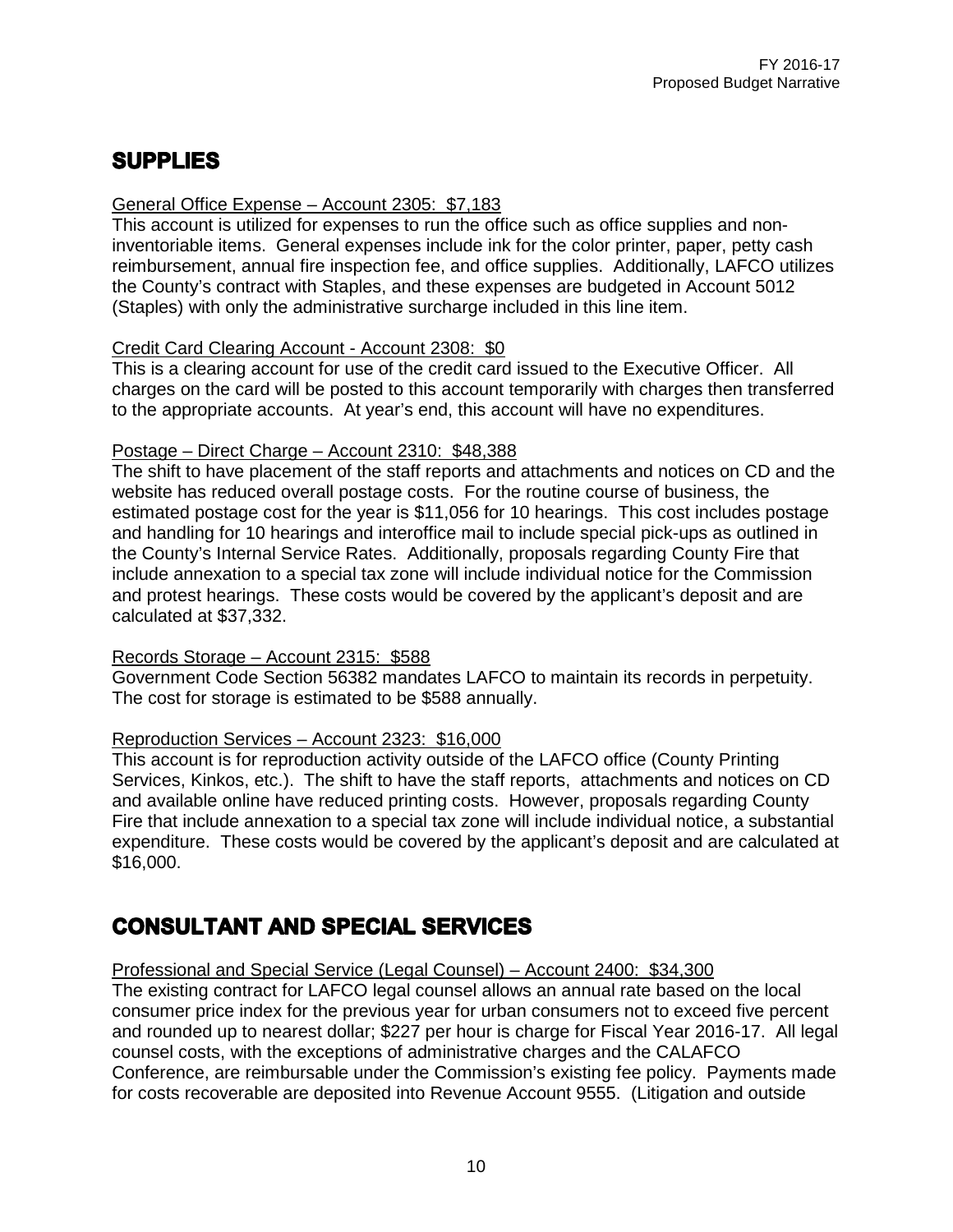### **SUPPLIES**

#### General Office Expense – Account 2305: \$7,183

This account is utilized for expenses to run the office such as office supplies and noninventoriable items. General expenses include ink for the color printer, paper, petty cash reimbursement, annual fire inspection fee, and office supplies. Additionally, LAFCO utilizes the County's contract with Staples, and these expenses are budgeted in Account 5012 (Staples) with only the administrative surcharge included in this line item.

#### Credit Card Clearing Account - Account 2308: \$0

This is a clearing account for use of the credit card issued to the Executive Officer. All charges on the card will be posted to this account temporarily with charges then transferred to the appropriate accounts. At year's end, this account will have no expenditures.

#### Postage – Direct Charge – Account 2310: \$48,388

The shift to have placement of the staff reports and attachments and notices on CD and the website has reduced overall postage costs. For the routine course of business, the estimated postage cost for the year is \$11,056 for 10 hearings. This cost includes postage and handling for 10 hearings and interoffice mail to include special pick-ups as outlined in the County's Internal Service Rates. Additionally, proposals regarding County Fire that include annexation to a special tax zone will include individual notice for the Commission and protest hearings. These costs would be covered by the applicant's deposit and are calculated at \$37,332.

#### Records Storage – Account 2315: \$588

Government Code Section 56382 mandates LAFCO to maintain its records in perpetuity. The cost for storage is estimated to be \$588 annually.

#### Reproduction Services – Account 2323: \$16,000

This account is for reproduction activity outside of the LAFCO office (County Printing Services, Kinkos, etc.). The shift to have the staff reports, attachments and notices on CD and available online have reduced printing costs. However, proposals regarding County Fire that include annexation to a special tax zone will include individual notice, a substantial expenditure. These costs would be covered by the applicant's deposit and are calculated at \$16,000.

### **CONSULTANT AND SPECIAL SERVICES**

#### Professional and Special Service (Legal Counsel) – Account 2400: \$34,300

The existing contract for LAFCO legal counsel allows an annual rate based on the local consumer price index for the previous year for urban consumers not to exceed five percent and rounded up to nearest dollar; \$227 per hour is charge for Fiscal Year 2016-17. All legal counsel costs, with the exceptions of administrative charges and the CALAFCO Conference, are reimbursable under the Commission's existing fee policy. Payments made for costs recoverable are deposited into Revenue Account 9555. (Litigation and outside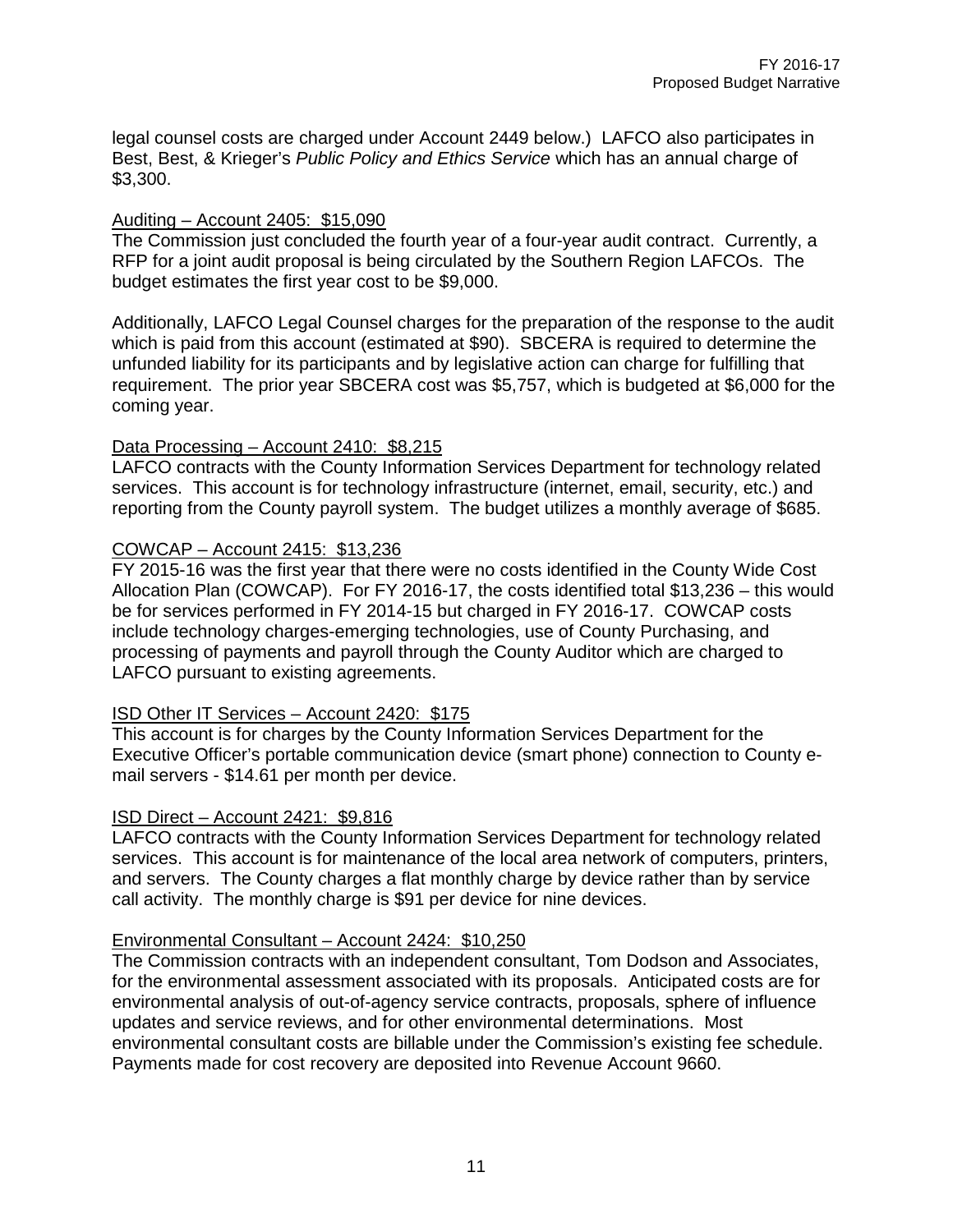legal counsel costs are charged under Account 2449 below.) LAFCO also participates in Best, Best, & Krieger's *Public Policy and Ethics Service* which has an annual charge of \$3,300.

#### Auditing – Account 2405: \$15,090

The Commission just concluded the fourth year of a four-year audit contract. Currently, a RFP for a joint audit proposal is being circulated by the Southern Region LAFCOs. The budget estimates the first year cost to be \$9,000.

Additionally, LAFCO Legal Counsel charges for the preparation of the response to the audit which is paid from this account (estimated at \$90). SBCERA is required to determine the unfunded liability for its participants and by legislative action can charge for fulfilling that requirement. The prior year SBCERA cost was \$5,757, which is budgeted at \$6,000 for the coming year.

#### Data Processing – Account 2410: \$8,215

LAFCO contracts with the County Information Services Department for technology related services. This account is for technology infrastructure (internet, email, security, etc.) and reporting from the County payroll system. The budget utilizes a monthly average of \$685.

#### COWCAP – Account 2415: \$13,236

FY 2015-16 was the first year that there were no costs identified in the County Wide Cost Allocation Plan (COWCAP). For FY 2016-17, the costs identified total \$13,236 – this would be for services performed in FY 2014-15 but charged in FY 2016-17. COWCAP costs include technology charges-emerging technologies, use of County Purchasing, and processing of payments and payroll through the County Auditor which are charged to LAFCO pursuant to existing agreements.

#### ISD Other IT Services – Account 2420: \$175

This account is for charges by the County Information Services Department for the Executive Officer's portable communication device (smart phone) connection to County email servers - \$14.61 per month per device.

#### ISD Direct – Account 2421: \$9,816

LAFCO contracts with the County Information Services Department for technology related services. This account is for maintenance of the local area network of computers, printers, and servers. The County charges a flat monthly charge by device rather than by service call activity. The monthly charge is \$91 per device for nine devices.

#### Environmental Consultant – Account 2424: \$10,250

The Commission contracts with an independent consultant, Tom Dodson and Associates, for the environmental assessment associated with its proposals. Anticipated costs are for environmental analysis of out-of-agency service contracts, proposals, sphere of influence updates and service reviews, and for other environmental determinations. Most environmental consultant costs are billable under the Commission's existing fee schedule. Payments made for cost recovery are deposited into Revenue Account 9660.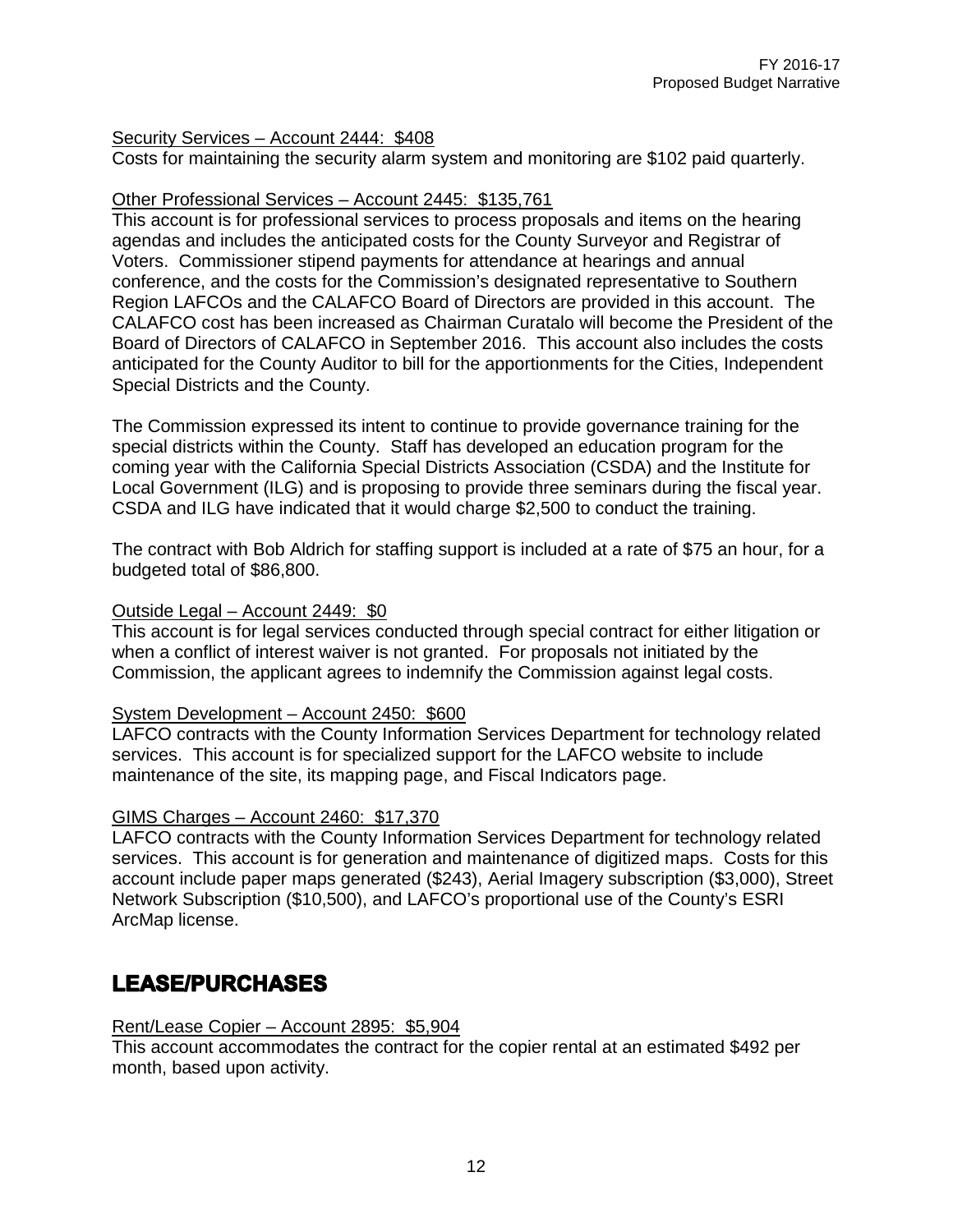#### Security Services – Account 2444: \$408

Costs for maintaining the security alarm system and monitoring are \$102 paid quarterly.

#### Other Professional Services – Account 2445: \$135,761

This account is for professional services to process proposals and items on the hearing agendas and includes the anticipated costs for the County Surveyor and Registrar of Voters. Commissioner stipend payments for attendance at hearings and annual conference, and the costs for the Commission's designated representative to Southern Region LAFCOs and the CALAFCO Board of Directors are provided in this account. The CALAFCO cost has been increased as Chairman Curatalo will become the President of the Board of Directors of CALAFCO in September 2016. This account also includes the costs anticipated for the County Auditor to bill for the apportionments for the Cities, Independent Special Districts and the County.

The Commission expressed its intent to continue to provide governance training for the special districts within the County. Staff has developed an education program for the coming year with the California Special Districts Association (CSDA) and the Institute for Local Government (ILG) and is proposing to provide three seminars during the fiscal year. CSDA and ILG have indicated that it would charge \$2,500 to conduct the training.

The contract with Bob Aldrich for staffing support is included at a rate of \$75 an hour, for a budgeted total of \$86,800.

#### Outside Legal – Account 2449: \$0

This account is for legal services conducted through special contract for either litigation or when a conflict of interest waiver is not granted. For proposals not initiated by the Commission, the applicant agrees to indemnify the Commission against legal costs.

#### System Development – Account 2450: \$600

LAFCO contracts with the County Information Services Department for technology related services. This account is for specialized support for the LAFCO website to include maintenance of the site, its mapping page, and Fiscal Indicators page.

#### GIMS Charges – Account 2460: \$17,370

LAFCO contracts with the County Information Services Department for technology related services. This account is for generation and maintenance of digitized maps. Costs for this account include paper maps generated (\$243), Aerial Imagery subscription (\$3,000), Street Network Subscription (\$10,500), and LAFCO's proportional use of the County's ESRI ArcMap license.

### **LEASE/PURCHASES**

#### Rent/Lease Copier – Account 2895: \$5,904

This account accommodates the contract for the copier rental at an estimated \$492 per month, based upon activity.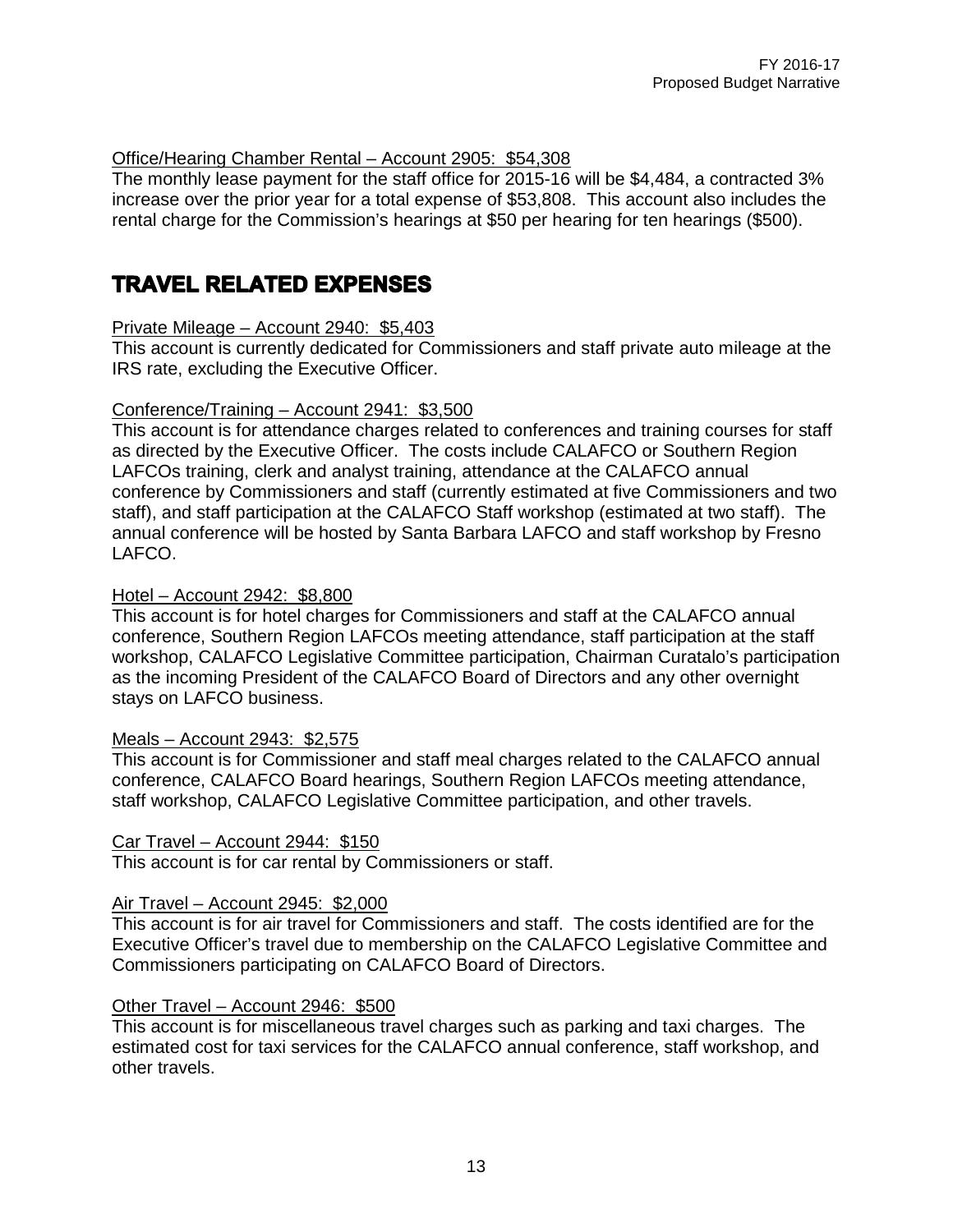#### Office/Hearing Chamber Rental – Account 2905: \$54,308

The monthly lease payment for the staff office for 2015-16 will be \$4,484, a contracted 3% increase over the prior year for a total expense of \$53,808. This account also includes the rental charge for the Commission's hearings at \$50 per hearing for ten hearings (\$500).

### **TRAVEL RELATED EXPENSES**

#### Private Mileage – Account 2940: \$5,403

This account is currently dedicated for Commissioners and staff private auto mileage at the IRS rate, excluding the Executive Officer.

#### Conference/Training – Account 2941: \$3,500

This account is for attendance charges related to conferences and training courses for staff as directed by the Executive Officer. The costs include CALAFCO or Southern Region LAFCOs training, clerk and analyst training, attendance at the CALAFCO annual conference by Commissioners and staff (currently estimated at five Commissioners and two staff), and staff participation at the CALAFCO Staff workshop (estimated at two staff). The annual conference will be hosted by Santa Barbara LAFCO and staff workshop by Fresno LAFCO.

#### Hotel – Account 2942: \$8,800

This account is for hotel charges for Commissioners and staff at the CALAFCO annual conference, Southern Region LAFCOs meeting attendance, staff participation at the staff workshop, CALAFCO Legislative Committee participation, Chairman Curatalo's participation as the incoming President of the CALAFCO Board of Directors and any other overnight stays on LAFCO business.

#### Meals – Account 2943: \$2,575

This account is for Commissioner and staff meal charges related to the CALAFCO annual conference, CALAFCO Board hearings, Southern Region LAFCOs meeting attendance, staff workshop, CALAFCO Legislative Committee participation, and other travels.

#### Car Travel – Account 2944: \$150

This account is for car rental by Commissioners or staff.

#### Air Travel – Account 2945: \$2,000

This account is for air travel for Commissioners and staff. The costs identified are for the Executive Officer's travel due to membership on the CALAFCO Legislative Committee and Commissioners participating on CALAFCO Board of Directors.

#### Other Travel – Account 2946: \$500

This account is for miscellaneous travel charges such as parking and taxi charges. The estimated cost for taxi services for the CALAFCO annual conference, staff workshop, and other travels.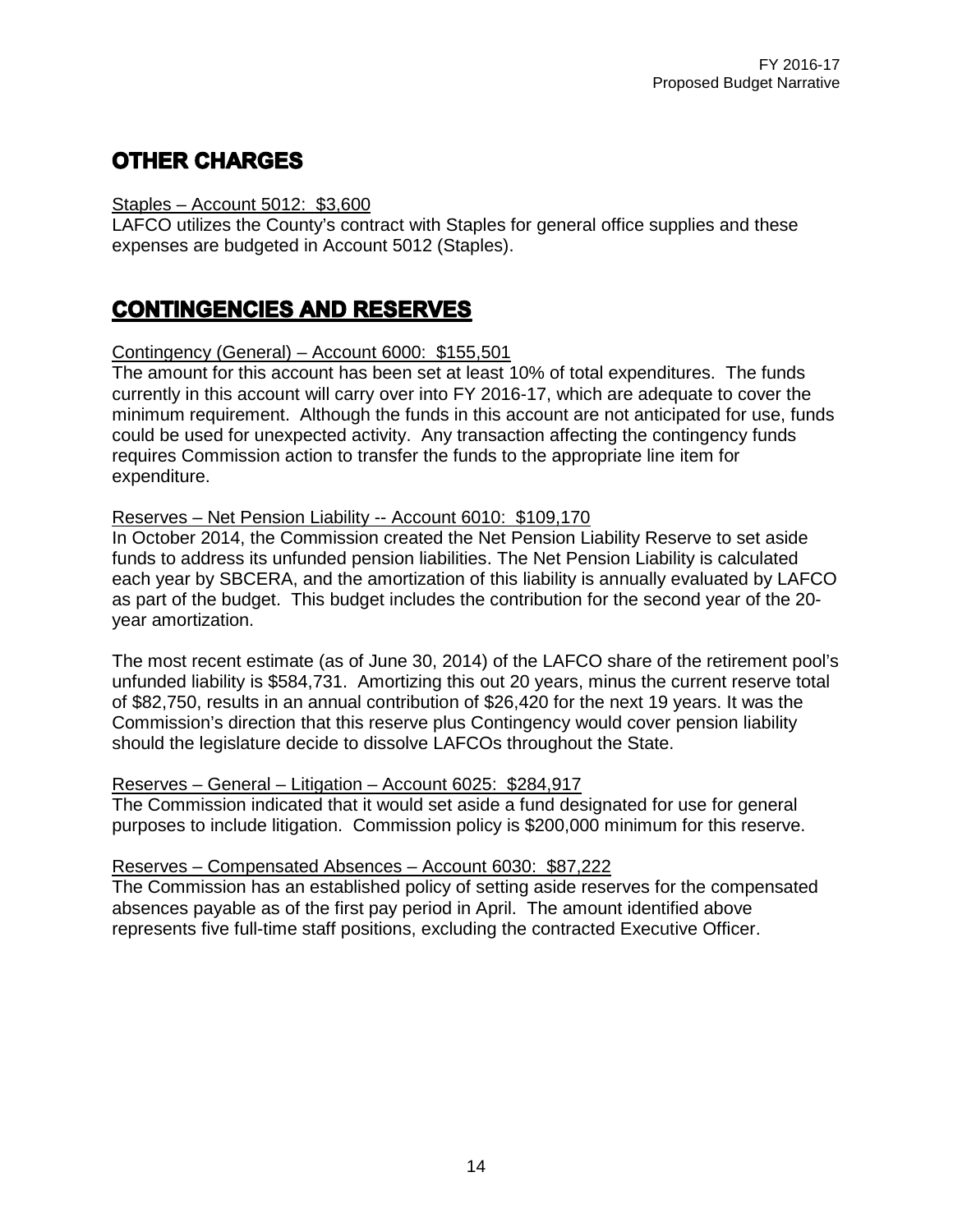### **OTHER CHARGES**

#### Staples – Account 5012: \$3,600

LAFCO utilizes the County's contract with Staples for general office supplies and these expenses are budgeted in Account 5012 (Staples).

### **CONTINGENCIES AND RESERVES**

#### Contingency (General) – Account 6000: \$155,501

The amount for this account has been set at least 10% of total expenditures. The funds currently in this account will carry over into FY 2016-17, which are adequate to cover the minimum requirement. Although the funds in this account are not anticipated for use, funds could be used for unexpected activity. Any transaction affecting the contingency funds requires Commission action to transfer the funds to the appropriate line item for expenditure.

#### Reserves – Net Pension Liability -- Account 6010: \$109,170

In October 2014, the Commission created the Net Pension Liability Reserve to set aside funds to address its unfunded pension liabilities. The Net Pension Liability is calculated each year by SBCERA, and the amortization of this liability is annually evaluated by LAFCO as part of the budget. This budget includes the contribution for the second year of the 20 year amortization.

The most recent estimate (as of June 30, 2014) of the LAFCO share of the retirement pool's unfunded liability is \$584,731. Amortizing this out 20 years, minus the current reserve total of \$82,750, results in an annual contribution of \$26,420 for the next 19 years. It was the Commission's direction that this reserve plus Contingency would cover pension liability should the legislature decide to dissolve LAFCOs throughout the State.

#### Reserves – General – Litigation – Account 6025: \$284,917

The Commission indicated that it would set aside a fund designated for use for general purposes to include litigation. Commission policy is \$200,000 minimum for this reserve.

#### Reserves – Compensated Absences – Account 6030: \$87,222

The Commission has an established policy of setting aside reserves for the compensated absences payable as of the first pay period in April. The amount identified above represents five full-time staff positions, excluding the contracted Executive Officer.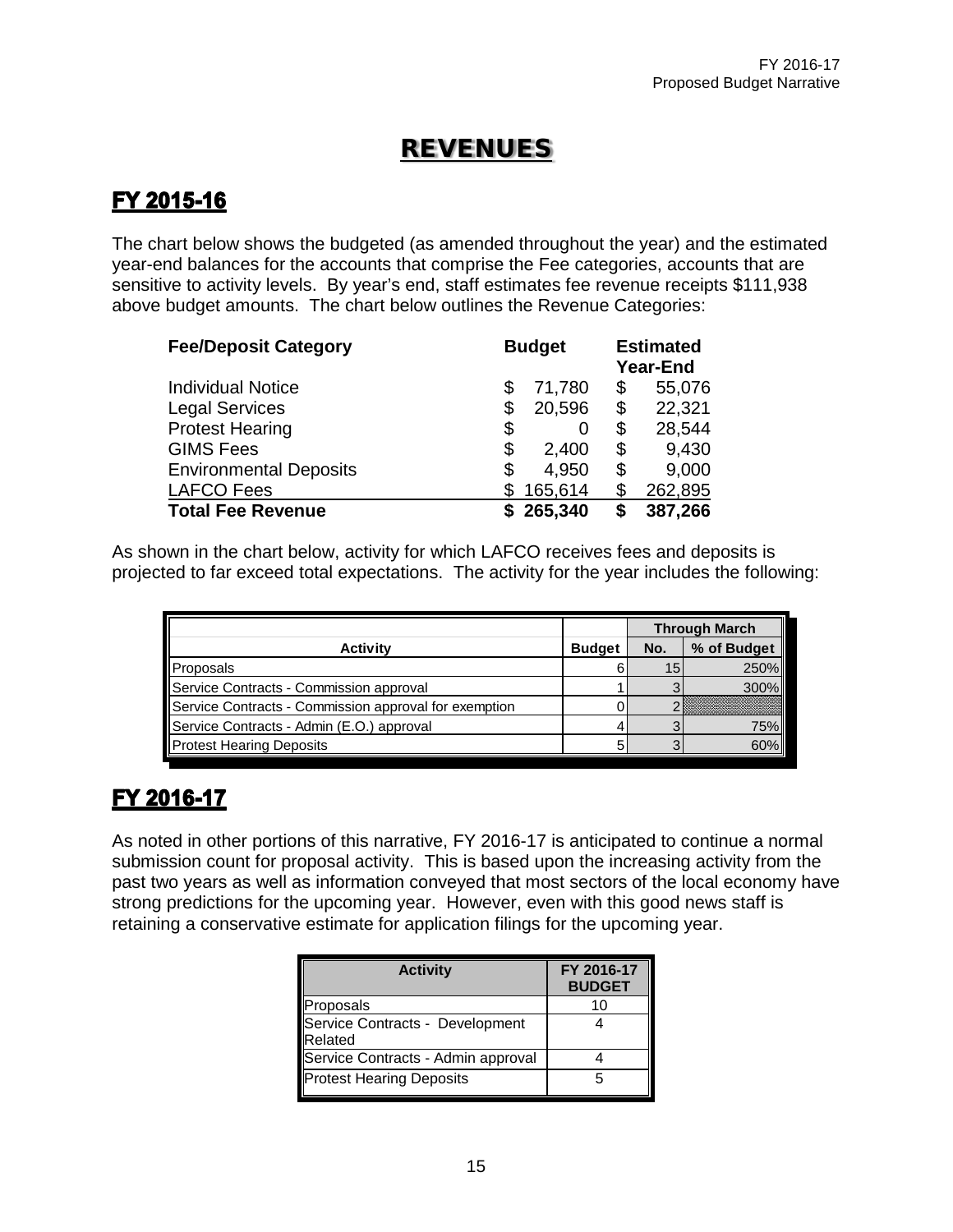### REVENUES

### FY 2015-16

The chart below shows the budgeted (as amended throughout the year) and the estimated year-end balances for the accounts that comprise the Fee categories, accounts that are sensitive to activity levels. By year's end, staff estimates fee revenue receipts \$111,938 above budget amounts. The chart below outlines the Revenue Categories:

| <b>Fee/Deposit Category</b>   | <b>Budget</b> |         |    | <b>Estimated</b><br><b>Year-End</b> |
|-------------------------------|---------------|---------|----|-------------------------------------|
| <b>Individual Notice</b>      | S             | 71,780  | \$ | 55,076                              |
| <b>Legal Services</b>         | \$            | 20,596  | \$ | 22,321                              |
| <b>Protest Hearing</b>        | \$            | O       | \$ | 28,544                              |
| <b>GIMS Fees</b>              | \$            | 2,400   | \$ | 9,430                               |
| <b>Environmental Deposits</b> | \$            | 4,950   | \$ | 9,000                               |
| <b>LAFCO Fees</b>             |               | 165,614 | S  | 262,895                             |
| <b>Total Fee Revenue</b>      |               | 265,340 |    | 387,266                             |

As shown in the chart below, activity for which LAFCO receives fees and deposits is projected to far exceed total expectations. The activity for the year includes the following:

|                                                       |               |     | <b>Through March</b> |
|-------------------------------------------------------|---------------|-----|----------------------|
| <b>Activity</b>                                       | <b>Budget</b> | No. | % of Budget          |
| Proposals                                             |               | 15  | 250%                 |
| Service Contracts - Commission approval               |               |     | $300\%$              |
| Service Contracts - Commission approval for exemption |               |     |                      |
| Service Contracts - Admin (E.O.) approval             |               |     | 75%                  |
| Protest Hearing Deposits                              |               |     | 60%                  |

### FY 2016-17

As noted in other portions of this narrative, FY 2016-17 is anticipated to continue a normal submission count for proposal activity. This is based upon the increasing activity from the past two years as well as information conveyed that most sectors of the local economy have strong predictions for the upcoming year. However, even with this good news staff is retaining a conservative estimate for application filings for the upcoming year.

| <b>Activity</b>                            | FY 2016-17<br><b>BUDGET</b> |
|--------------------------------------------|-----------------------------|
| Proposals                                  | 10                          |
| Service Contracts - Development<br>Related |                             |
| Service Contracts - Admin approval         |                             |
| <b>Protest Hearing Deposits</b>            | 5                           |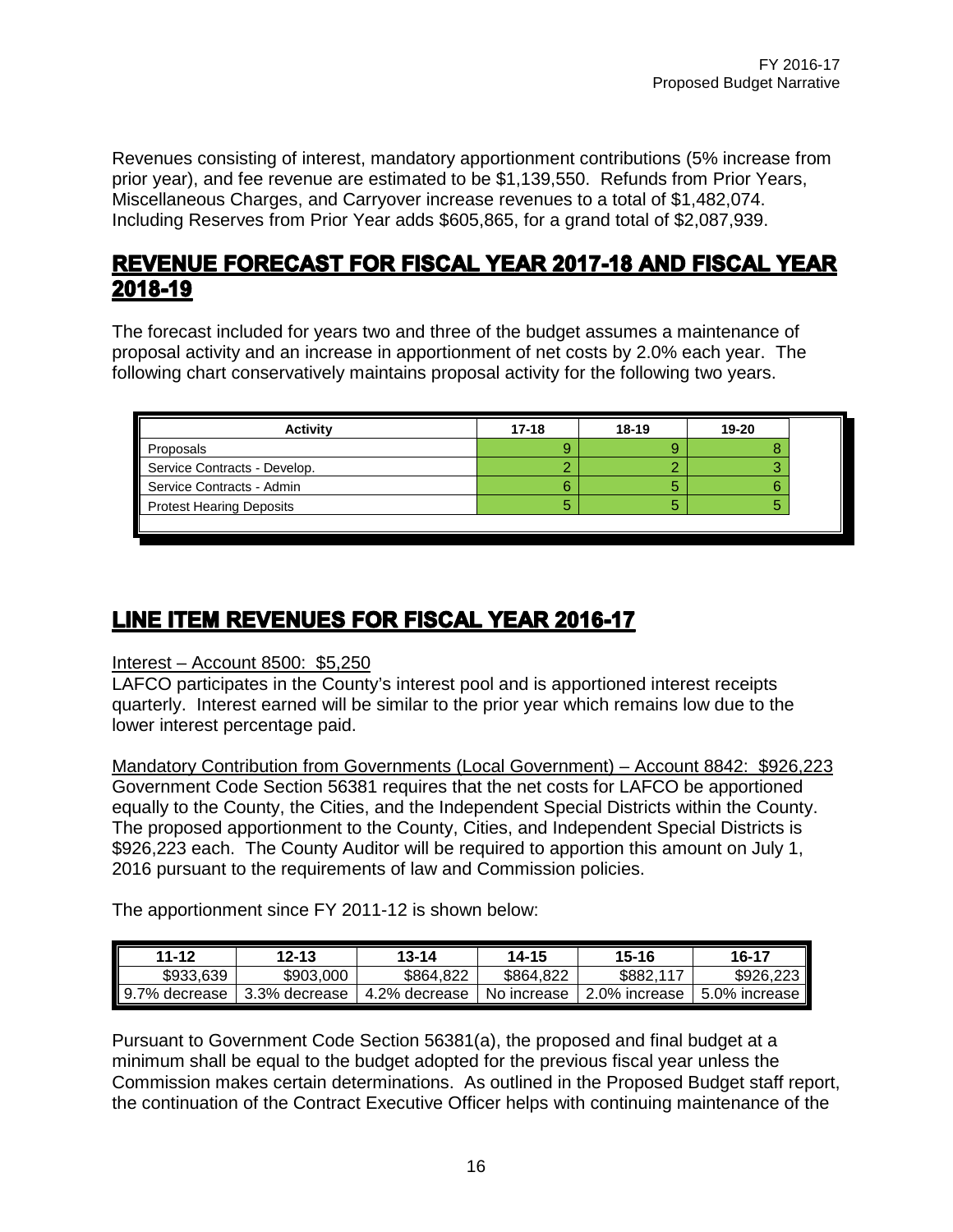Revenues consisting of interest, mandatory apportionment contributions (5% increase from prior year), and fee revenue are estimated to be \$1,139,550. Refunds from Prior Years, Miscellaneous Charges, and Carryover increase revenues to a total of \$1,482,074. Including Reserves from Prior Year adds \$605,865, for a grand total of \$2,087,939.

### **REVENUE FORECAST FOR FISCAL YEAR 2017-18 AND FISCAL YEAR** 2018-19

The forecast included for years two and three of the budget assumes a maintenance of proposal activity and an increase in apportionment of net costs by 2.0% each year. The following chart conservatively maintains proposal activity for the following two years.

| $17-18$ | $18 - 19$ | 19-20 |
|---------|-----------|-------|
|         |           |       |
|         |           |       |
|         |           |       |
|         |           |       |
|         |           |       |

### LINE ITEM REVENUES FOR FISCAL YEAR 2016-17

#### Interest – Account 8500: \$5,250

LAFCO participates in the County's interest pool and is apportioned interest receipts quarterly. Interest earned will be similar to the prior year which remains low due to the lower interest percentage paid.

Mandatory Contribution from Governments (Local Government) – Account 8842: \$926,223 Government Code Section 56381 requires that the net costs for LAFCO be apportioned equally to the County, the Cities, and the Independent Special Districts within the County. The proposed apportionment to the County, Cities, and Independent Special Districts is \$926,223 each. The County Auditor will be required to apportion this amount on July 1, 2016 pursuant to the requirements of law and Commission policies.

The apportionment since FY 2011-12 is shown below:

| 11-12         | $12 - 13$     | $13 - 14$     | 14-15       | 15-16         | 16-17         |
|---------------|---------------|---------------|-------------|---------------|---------------|
| \$933.639     | \$903,000     | \$864.822     | \$864,822   | \$882.117     | \$926,223     |
| 9.7% decrease | 3.3% decrease | 4.2% decrease | No increase | 2.0% increase | 5.0% increase |

Pursuant to Government Code Section 56381(a), the proposed and final budget at a minimum shall be equal to the budget adopted for the previous fiscal year unless the Commission makes certain determinations. As outlined in the Proposed Budget staff report, the continuation of the Contract Executive Officer helps with continuing maintenance of the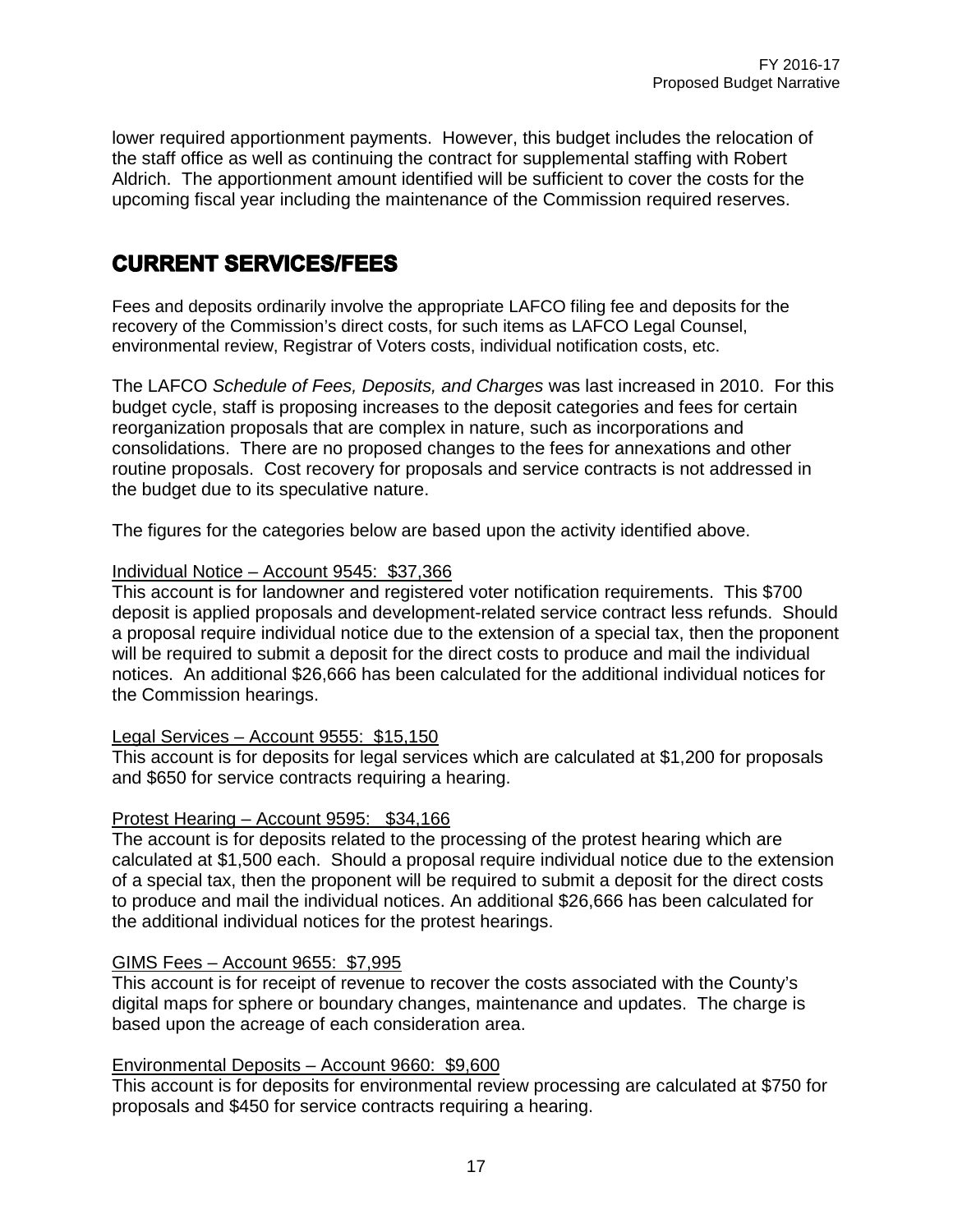lower required apportionment payments. However, this budget includes the relocation of the staff office as well as continuing the contract for supplemental staffing with Robert Aldrich. The apportionment amount identified will be sufficient to cover the costs for the upcoming fiscal year including the maintenance of the Commission required reserves.

### **CURRENT SERVICES/FEES**

Fees and deposits ordinarily involve the appropriate LAFCO filing fee and deposits for the recovery of the Commission's direct costs, for such items as LAFCO Legal Counsel, environmental review, Registrar of Voters costs, individual notification costs, etc.

The LAFCO *Schedule of Fees, Deposits, and Charges* was last increased in 2010. For this budget cycle, staff is proposing increases to the deposit categories and fees for certain reorganization proposals that are complex in nature, such as incorporations and consolidations. There are no proposed changes to the fees for annexations and other routine proposals. Cost recovery for proposals and service contracts is not addressed in the budget due to its speculative nature.

The figures for the categories below are based upon the activity identified above.

#### Individual Notice – Account 9545: \$37,366

This account is for landowner and registered voter notification requirements. This \$700 deposit is applied proposals and development-related service contract less refunds. Should a proposal require individual notice due to the extension of a special tax, then the proponent will be required to submit a deposit for the direct costs to produce and mail the individual notices. An additional \$26,666 has been calculated for the additional individual notices for the Commission hearings.

#### Legal Services – Account 9555: \$15,150

This account is for deposits for legal services which are calculated at \$1,200 for proposals and \$650 for service contracts requiring a hearing.

#### Protest Hearing – Account 9595: \$34,166

The account is for deposits related to the processing of the protest hearing which are calculated at \$1,500 each. Should a proposal require individual notice due to the extension of a special tax, then the proponent will be required to submit a deposit for the direct costs to produce and mail the individual notices. An additional \$26,666 has been calculated for the additional individual notices for the protest hearings.

#### GIMS Fees – Account 9655: \$7,995

This account is for receipt of revenue to recover the costs associated with the County's digital maps for sphere or boundary changes, maintenance and updates. The charge is based upon the acreage of each consideration area.

#### Environmental Deposits – Account 9660: \$9,600

This account is for deposits for environmental review processing are calculated at \$750 for proposals and \$450 for service contracts requiring a hearing.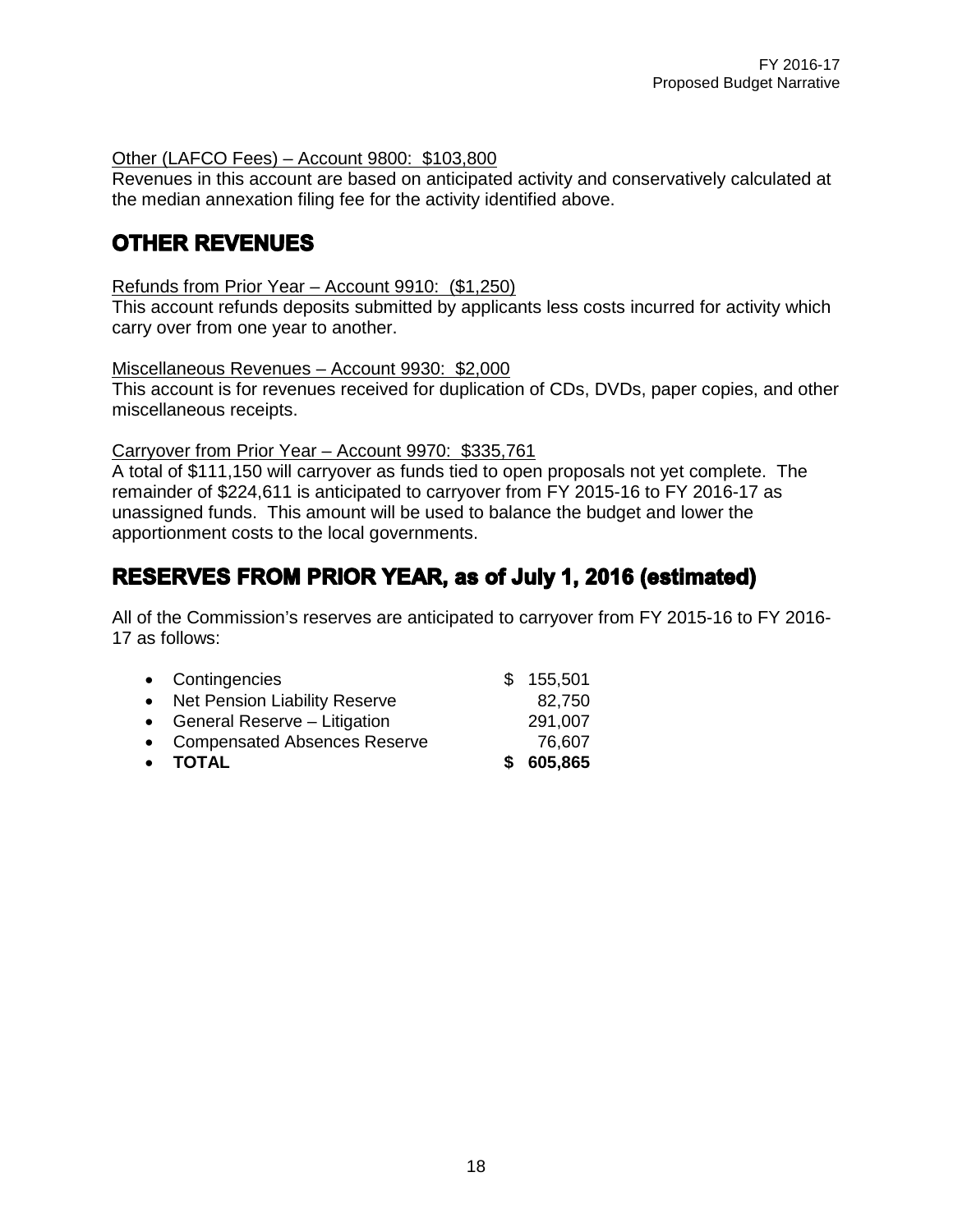#### Other (LAFCO Fees) – Account 9800: \$103,800

Revenues in this account are based on anticipated activity and conservatively calculated at the median annexation filing fee for the activity identified above.

### **OTHER REVENUES**

#### Refunds from Prior Year – Account 9910: (\$1,250)

This account refunds deposits submitted by applicants less costs incurred for activity which carry over from one year to another.

#### Miscellaneous Revenues – Account 9930: \$2,000

This account is for revenues received for duplication of CDs, DVDs, paper copies, and other miscellaneous receipts.

#### Carryover from Prior Year – Account 9970: \$335,761

A total of \$111,150 will carryover as funds tied to open proposals not yet complete. The remainder of \$224,611 is anticipated to carryover from FY 2015-16 to FY 2016-17 as unassigned funds. This amount will be used to balance the budget and lower the apportionment costs to the local governments.

### **RESERVES FROM PRIOR YEAR, as of July 1, 2016 (estimated)**

All of the Commission's reserves are anticipated to carryover from FY 2015-16 to FY 2016- 17 as follows:

| • TOTAL                         | \$605,865 |
|---------------------------------|-----------|
| • Compensated Absences Reserve  | 76,607    |
| • General Reserve - Litigation  | 291,007   |
| • Net Pension Liability Reserve | 82,750    |
| • Contingencies                 | \$155,501 |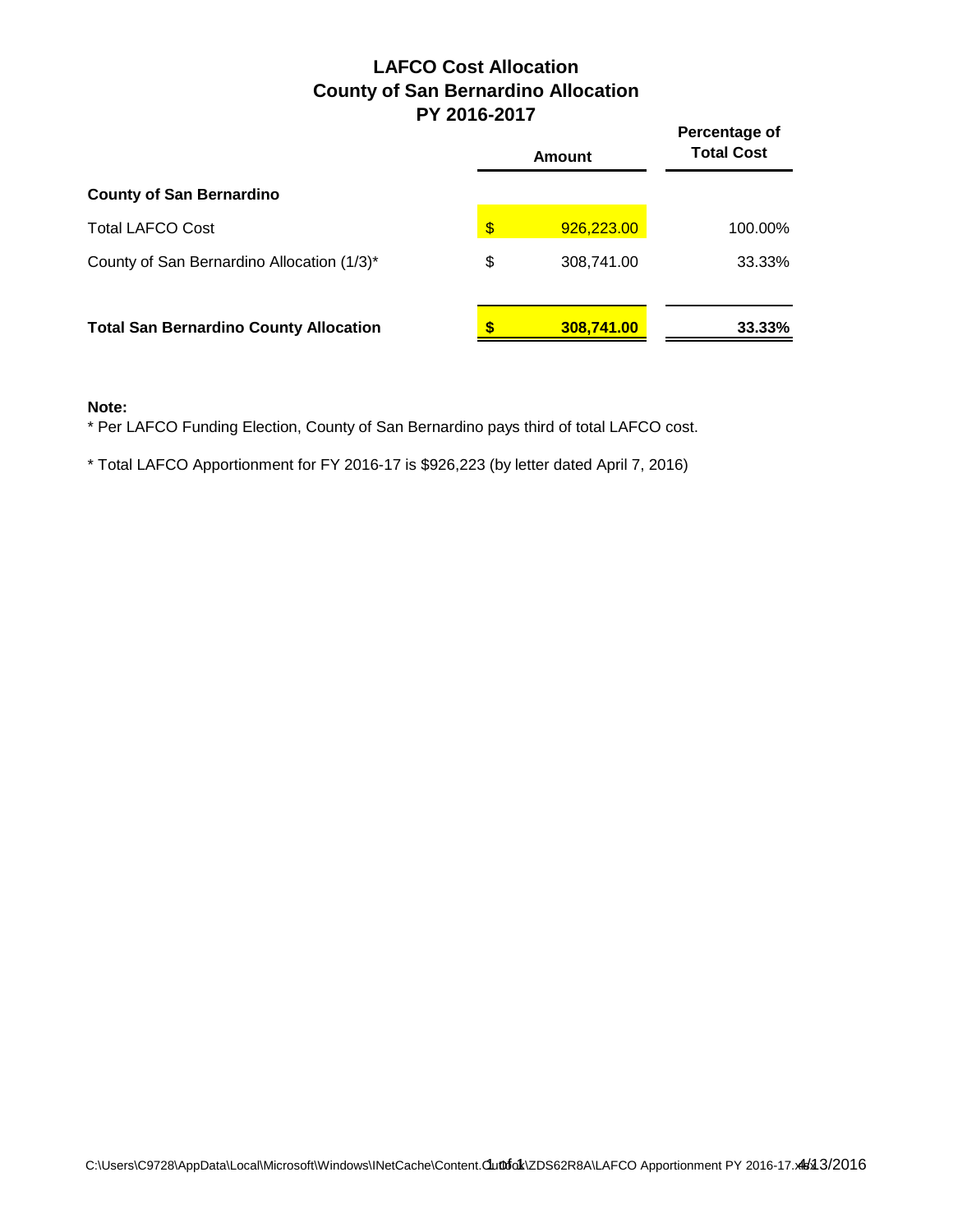### **LAFCO Cost Allocation County of San Bernardino Allocation PY 2016-2017**

|                                               | I I LUIV-LUII    |                                    |  |  |  |
|-----------------------------------------------|------------------|------------------------------------|--|--|--|
|                                               | <b>Amount</b>    | Percentage of<br><b>Total Cost</b> |  |  |  |
| <b>County of San Bernardino</b>               |                  |                                    |  |  |  |
| <b>Total LAFCO Cost</b>                       | \$<br>926,223.00 | 100.00%                            |  |  |  |
| County of San Bernardino Allocation (1/3)*    | \$<br>308,741.00 | 33.33%                             |  |  |  |
| <b>Total San Bernardino County Allocation</b> | 308,741.00       | 33.33%                             |  |  |  |

#### **Note:**

\* Per LAFCO Funding Election, County of San Bernardino pays third of total LAFCO cost.

\* Total LAFCO Apportionment for FY 2016-17 is \$926,223 (by letter dated April 7, 2016)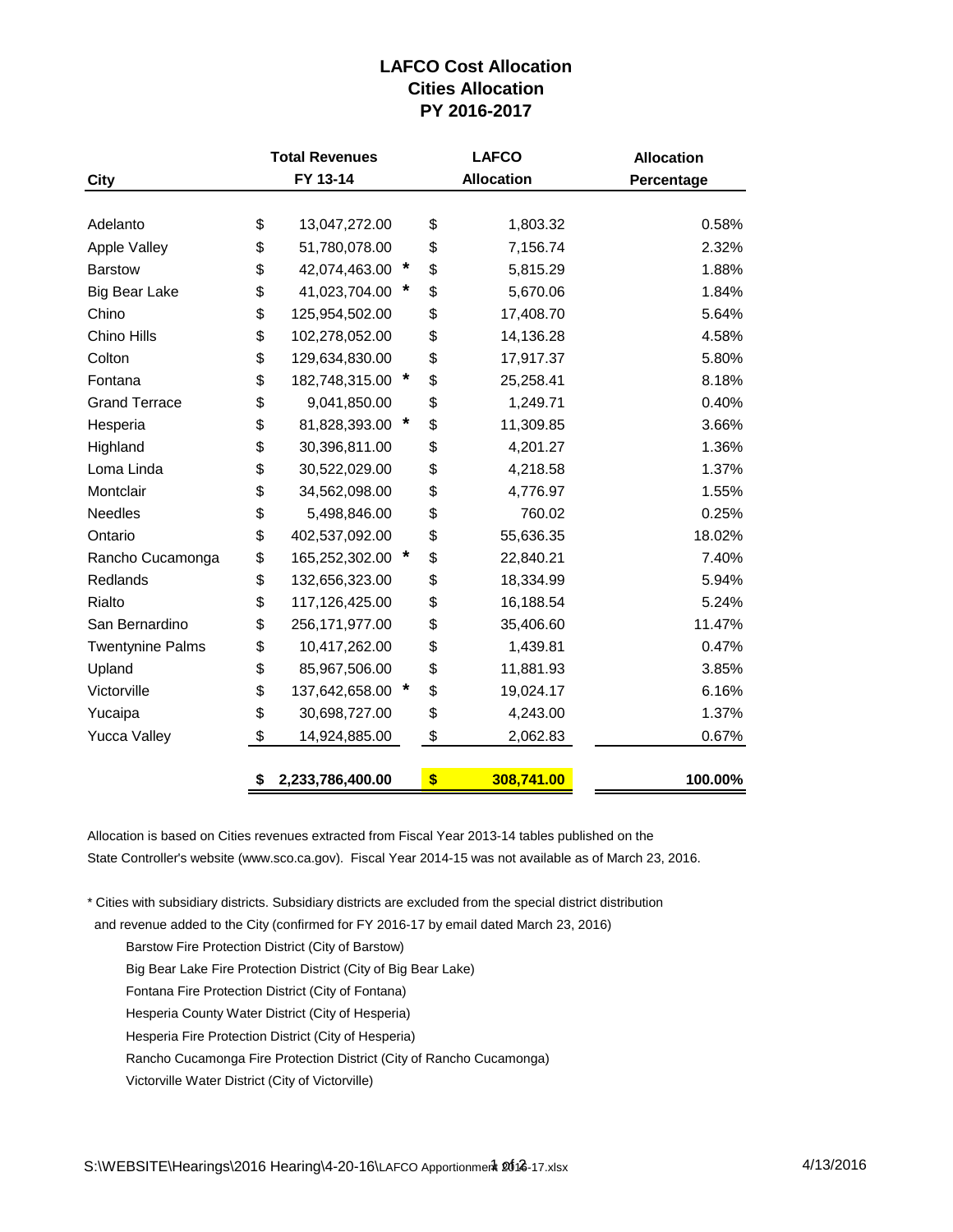#### **LAFCO Cost Allocation Cities Allocation PY 2016-2017**

| <b>Total Revenues</b> |                                   | <b>LAFCO</b>      |           | <b>Allocation</b>      |  |
|-----------------------|-----------------------------------|-------------------|-----------|------------------------|--|
| FY 13-14              |                                   | <b>Allocation</b> |           | Percentage             |  |
|                       |                                   |                   |           |                        |  |
|                       |                                   |                   |           | 0.58%                  |  |
| \$<br>51,780,078.00   |                                   | \$                | 7,156.74  | 2.32%                  |  |
| \$<br>42,074,463.00   | *                                 | \$                | 5,815.29  | 1.88%                  |  |
| \$<br>41,023,704.00   | *                                 | \$                | 5,670.06  | 1.84%                  |  |
| \$<br>125,954,502.00  |                                   | \$                | 17,408.70 | 5.64%                  |  |
| \$<br>102,278,052.00  |                                   | \$                | 14,136.28 | 4.58%                  |  |
| \$<br>129,634,830.00  |                                   | \$                | 17,917.37 | 5.80%                  |  |
| \$<br>182,748,315.00  |                                   | \$                | 25,258.41 | 8.18%                  |  |
| \$<br>9,041,850.00    |                                   | \$                | 1,249.71  | 0.40%                  |  |
| \$<br>81,828,393.00   |                                   | \$                | 11,309.85 | 3.66%                  |  |
| \$<br>30,396,811.00   |                                   | \$                | 4,201.27  | 1.36%                  |  |
| \$<br>30,522,029.00   |                                   | \$                | 4,218.58  | 1.37%                  |  |
| \$<br>34,562,098.00   |                                   | \$                | 4,776.97  | 1.55%                  |  |
| \$<br>5,498,846.00    |                                   | \$                | 760.02    | 0.25%                  |  |
| \$<br>402,537,092.00  |                                   | \$                | 55,636.35 | 18.02%                 |  |
| \$                    |                                   | \$                | 22,840.21 | 7.40%                  |  |
| \$<br>132,656,323.00  |                                   | \$                | 18,334.99 | 5.94%                  |  |
| \$<br>117,126,425.00  |                                   | \$                | 16,188.54 | 5.24%                  |  |
| \$<br>256,171,977.00  |                                   | \$                | 35,406.60 | 11.47%                 |  |
| \$<br>10,417,262.00   |                                   | \$                | 1,439.81  | 0.47%                  |  |
| \$<br>85,967,506.00   |                                   | \$                | 11,881.93 | 3.85%                  |  |
| \$<br>137,642,658.00  |                                   | \$                | 19,024.17 | 6.16%                  |  |
| \$<br>30,698,727.00   |                                   | \$                | 4,243.00  | 1.37%                  |  |
| \$<br>14,924,885.00   |                                   | \$                | 2,062.83  | 0.67%                  |  |
|                       |                                   |                   |           | 100.00%                |  |
| \$<br>\$              | 13,047,272.00<br>2,233,786,400.00 | 165,252,302.00 *  | \$<br>\$  | 1,803.32<br>308,741.00 |  |

Allocation is based on Cities revenues extracted from Fiscal Year 2013-14 tables published on the State Controller's website (www.sco.ca.gov). Fiscal Year 2014-15 was not available as of March 23, 2016.

\* Cities with subsidiary districts. Subsidiary districts are excluded from the special district distribution

and revenue added to the City (confirmed for FY 2016-17 by email dated March 23, 2016)

- Barstow Fire Protection District (City of Barstow)
- Big Bear Lake Fire Protection District (City of Big Bear Lake)
- Fontana Fire Protection District (City of Fontana)
- Hesperia County Water District (City of Hesperia)
- Hesperia Fire Protection District (City of Hesperia)
- Rancho Cucamonga Fire Protection District (City of Rancho Cucamonga)
- Victorville Water District (City of Victorville)